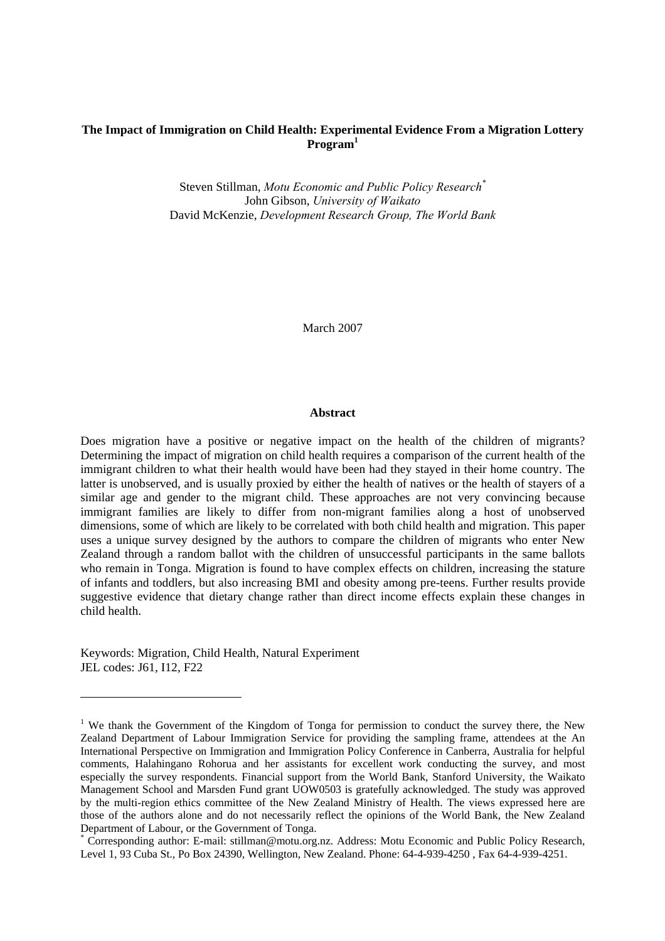# **The Impact of Immigration on Child Health: Experimental Evidence From a Migration Lottery Program1**

Steven Stillman, *Motu Economic and Public Policy Research\** John Gibson, *University of Waikato* David McKenzie, *Development Research Group, The World Bank*

March 2007

### **Abstract**

Does migration have a positive or negative impact on the health of the children of migrants? Determining the impact of migration on child health requires a comparison of the current health of the immigrant children to what their health would have been had they stayed in their home country. The latter is unobserved, and is usually proxied by either the health of natives or the health of stayers of a similar age and gender to the migrant child. These approaches are not very convincing because immigrant families are likely to differ from non-migrant families along a host of unobserved dimensions, some of which are likely to be correlated with both child health and migration. This paper uses a unique survey designed by the authors to compare the children of migrants who enter New Zealand through a random ballot with the children of unsuccessful participants in the same ballots who remain in Tonga. Migration is found to have complex effects on children, increasing the stature of infants and toddlers, but also increasing BMI and obesity among pre-teens. Further results provide suggestive evidence that dietary change rather than direct income effects explain these changes in child health.

Keywords: Migration, Child Health, Natural Experiment JEL codes: J61, I12, F22

<sup>&</sup>lt;sup>1</sup> We thank the Government of the Kingdom of Tonga for permission to conduct the survey there, the New Zealand Department of Labour Immigration Service for providing the sampling frame, attendees at the An International Perspective on Immigration and Immigration Policy Conference in Canberra, Australia for helpful comments, Halahingano Rohorua and her assistants for excellent work conducting the survey, and most especially the survey respondents. Financial support from the World Bank, Stanford University, the Waikato Management School and Marsden Fund grant UOW0503 is gratefully acknowledged. The study was approved by the multi-region ethics committee of the New Zealand Ministry of Health. The views expressed here are those of the authors alone and do not necessarily reflect the opinions of the World Bank, the New Zealand Department of Labour, or the Government of Tonga.

<sup>\*</sup> Corresponding author: E-mail: stillman@motu.org.nz. Address: Motu Economic and Public Policy Research, Level 1, 93 Cuba St., Po Box 24390, Wellington, New Zealand. Phone: 64-4-939-4250 , Fax 64-4-939-4251.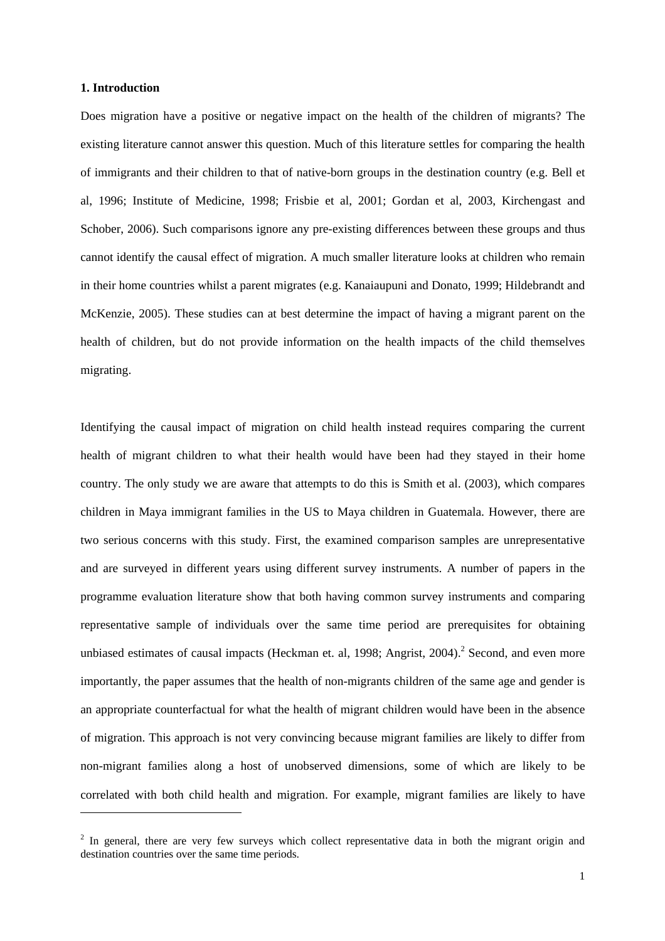## **1. Introduction**

 $\overline{a}$ 

Does migration have a positive or negative impact on the health of the children of migrants? The existing literature cannot answer this question. Much of this literature settles for comparing the health of immigrants and their children to that of native-born groups in the destination country (e.g. Bell et al, 1996; Institute of Medicine, 1998; Frisbie et al, 2001; Gordan et al, 2003, Kirchengast and Schober, 2006). Such comparisons ignore any pre-existing differences between these groups and thus cannot identify the causal effect of migration. A much smaller literature looks at children who remain in their home countries whilst a parent migrates (e.g. Kanaiaupuni and Donato, 1999; Hildebrandt and McKenzie, 2005). These studies can at best determine the impact of having a migrant parent on the health of children, but do not provide information on the health impacts of the child themselves migrating.

Identifying the causal impact of migration on child health instead requires comparing the current health of migrant children to what their health would have been had they stayed in their home country. The only study we are aware that attempts to do this is Smith et al. (2003), which compares children in Maya immigrant families in the US to Maya children in Guatemala. However, there are two serious concerns with this study. First, the examined comparison samples are unrepresentative and are surveyed in different years using different survey instruments. A number of papers in the programme evaluation literature show that both having common survey instruments and comparing representative sample of individuals over the same time period are prerequisites for obtaining unbiased estimates of causal impacts (Heckman et. al, 1998; Angrist, 2004).<sup>2</sup> Second, and even more importantly, the paper assumes that the health of non-migrants children of the same age and gender is an appropriate counterfactual for what the health of migrant children would have been in the absence of migration. This approach is not very convincing because migrant families are likely to differ from non-migrant families along a host of unobserved dimensions, some of which are likely to be correlated with both child health and migration. For example, migrant families are likely to have

 $2$  In general, there are very few surveys which collect representative data in both the migrant origin and destination countries over the same time periods.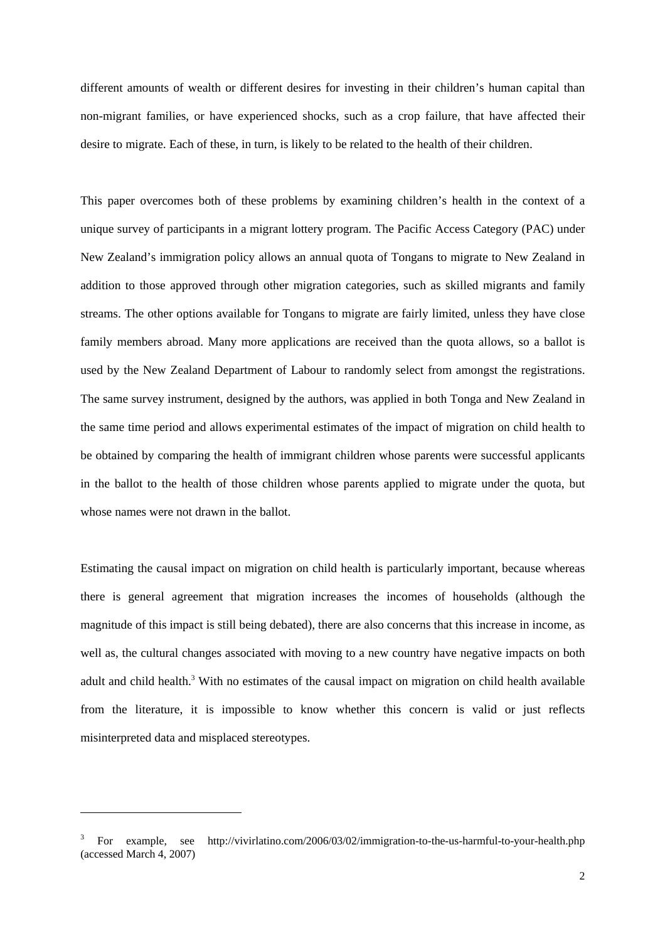different amounts of wealth or different desires for investing in their children's human capital than non-migrant families, or have experienced shocks, such as a crop failure, that have affected their desire to migrate. Each of these, in turn, is likely to be related to the health of their children.

This paper overcomes both of these problems by examining children's health in the context of a unique survey of participants in a migrant lottery program. The Pacific Access Category (PAC) under New Zealand's immigration policy allows an annual quota of Tongans to migrate to New Zealand in addition to those approved through other migration categories, such as skilled migrants and family streams. The other options available for Tongans to migrate are fairly limited, unless they have close family members abroad. Many more applications are received than the quota allows, so a ballot is used by the New Zealand Department of Labour to randomly select from amongst the registrations. The same survey instrument, designed by the authors, was applied in both Tonga and New Zealand in the same time period and allows experimental estimates of the impact of migration on child health to be obtained by comparing the health of immigrant children whose parents were successful applicants in the ballot to the health of those children whose parents applied to migrate under the quota, but whose names were not drawn in the ballot.

Estimating the causal impact on migration on child health is particularly important, because whereas there is general agreement that migration increases the incomes of households (although the magnitude of this impact is still being debated), there are also concerns that this increase in income, as well as, the cultural changes associated with moving to a new country have negative impacts on both adult and child health.<sup>3</sup> With no estimates of the causal impact on migration on child health available from the literature, it is impossible to know whether this concern is valid or just reflects misinterpreted data and misplaced stereotypes.

<sup>3</sup> For example, see http://vivirlatino.com/2006/03/02/immigration-to-the-us-harmful-to-your-health.php (accessed March 4, 2007)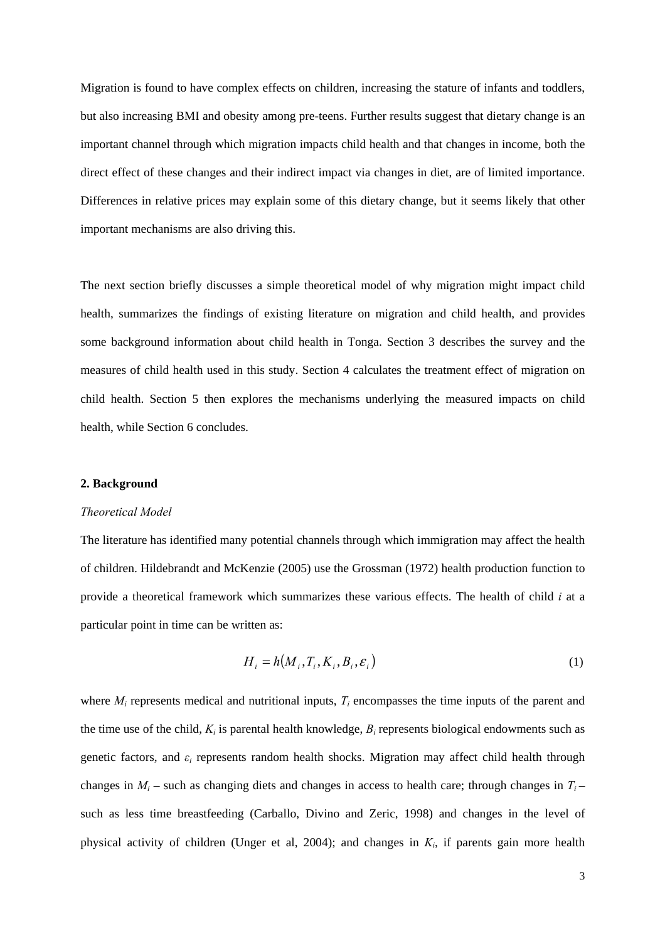Migration is found to have complex effects on children, increasing the stature of infants and toddlers, but also increasing BMI and obesity among pre-teens. Further results suggest that dietary change is an important channel through which migration impacts child health and that changes in income, both the direct effect of these changes and their indirect impact via changes in diet, are of limited importance. Differences in relative prices may explain some of this dietary change, but it seems likely that other important mechanisms are also driving this.

The next section briefly discusses a simple theoretical model of why migration might impact child health, summarizes the findings of existing literature on migration and child health, and provides some background information about child health in Tonga. Section 3 describes the survey and the measures of child health used in this study. Section 4 calculates the treatment effect of migration on child health. Section 5 then explores the mechanisms underlying the measured impacts on child health, while Section 6 concludes.

### **2. Background**

# *Theoretical Model*

The literature has identified many potential channels through which immigration may affect the health of children. Hildebrandt and McKenzie (2005) use the Grossman (1972) health production function to provide a theoretical framework which summarizes these various effects. The health of child *i* at a particular point in time can be written as:

$$
H_i = h(M_i, T_i, K_i, B_i, \varepsilon_i)
$$
\n<sup>(1)</sup>

where  $M_i$  represents medical and nutritional inputs,  $T_i$  encompasses the time inputs of the parent and the time use of the child,  $K_i$  is parental health knowledge,  $B_i$  represents biological endowments such as genetic factors, and *εi* represents random health shocks. Migration may affect child health through changes in  $M_i$  – such as changing diets and changes in access to health care; through changes in  $T_i$  – such as less time breastfeeding (Carballo, Divino and Zeric, 1998) and changes in the level of physical activity of children (Unger et al, 2004); and changes in *Ki*, if parents gain more health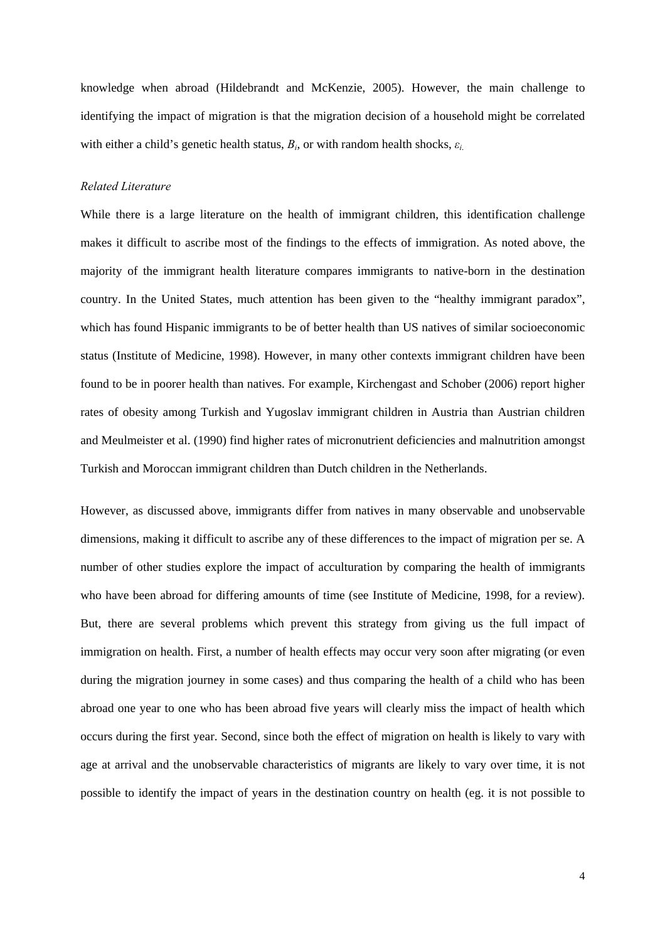knowledge when abroad (Hildebrandt and McKenzie, 2005). However, the main challenge to identifying the impact of migration is that the migration decision of a household might be correlated with either a child's genetic health status,  $B_i$ , or with random health shocks,  $\varepsilon_i$ .

### *Related Literature*

While there is a large literature on the health of immigrant children, this identification challenge makes it difficult to ascribe most of the findings to the effects of immigration. As noted above, the majority of the immigrant health literature compares immigrants to native-born in the destination country. In the United States, much attention has been given to the "healthy immigrant paradox", which has found Hispanic immigrants to be of better health than US natives of similar socioeconomic status (Institute of Medicine, 1998). However, in many other contexts immigrant children have been found to be in poorer health than natives. For example, Kirchengast and Schober (2006) report higher rates of obesity among Turkish and Yugoslav immigrant children in Austria than Austrian children and Meulmeister et al. (1990) find higher rates of micronutrient deficiencies and malnutrition amongst Turkish and Moroccan immigrant children than Dutch children in the Netherlands.

However, as discussed above, immigrants differ from natives in many observable and unobservable dimensions, making it difficult to ascribe any of these differences to the impact of migration per se. A number of other studies explore the impact of acculturation by comparing the health of immigrants who have been abroad for differing amounts of time (see Institute of Medicine, 1998, for a review). But, there are several problems which prevent this strategy from giving us the full impact of immigration on health. First, a number of health effects may occur very soon after migrating (or even during the migration journey in some cases) and thus comparing the health of a child who has been abroad one year to one who has been abroad five years will clearly miss the impact of health which occurs during the first year. Second, since both the effect of migration on health is likely to vary with age at arrival and the unobservable characteristics of migrants are likely to vary over time, it is not possible to identify the impact of years in the destination country on health (eg. it is not possible to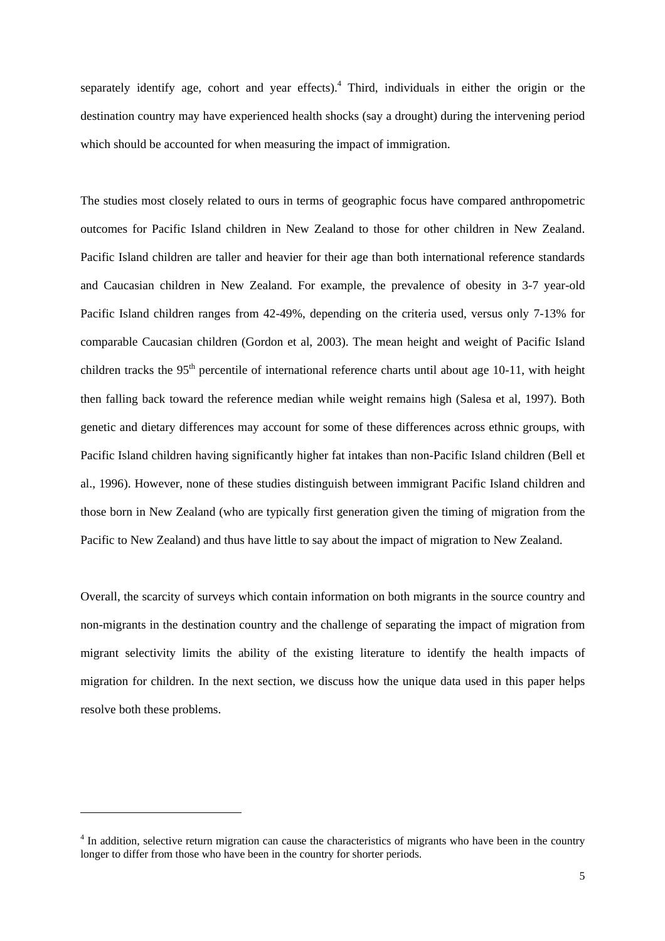separately identify age, cohort and year effects).<sup>4</sup> Third, individuals in either the origin or the destination country may have experienced health shocks (say a drought) during the intervening period which should be accounted for when measuring the impact of immigration.

The studies most closely related to ours in terms of geographic focus have compared anthropometric outcomes for Pacific Island children in New Zealand to those for other children in New Zealand. Pacific Island children are taller and heavier for their age than both international reference standards and Caucasian children in New Zealand. For example, the prevalence of obesity in 3-7 year-old Pacific Island children ranges from 42-49%, depending on the criteria used, versus only 7-13% for comparable Caucasian children (Gordon et al, 2003). The mean height and weight of Pacific Island children tracks the 95<sup>th</sup> percentile of international reference charts until about age 10-11, with height then falling back toward the reference median while weight remains high (Salesa et al, 1997). Both genetic and dietary differences may account for some of these differences across ethnic groups, with Pacific Island children having significantly higher fat intakes than non-Pacific Island children (Bell et al., 1996). However, none of these studies distinguish between immigrant Pacific Island children and those born in New Zealand (who are typically first generation given the timing of migration from the Pacific to New Zealand) and thus have little to say about the impact of migration to New Zealand.

Overall, the scarcity of surveys which contain information on both migrants in the source country and non-migrants in the destination country and the challenge of separating the impact of migration from migrant selectivity limits the ability of the existing literature to identify the health impacts of migration for children. In the next section, we discuss how the unique data used in this paper helps resolve both these problems.

<sup>&</sup>lt;sup>4</sup> In addition, selective return migration can cause the characteristics of migrants who have been in the country longer to differ from those who have been in the country for shorter periods.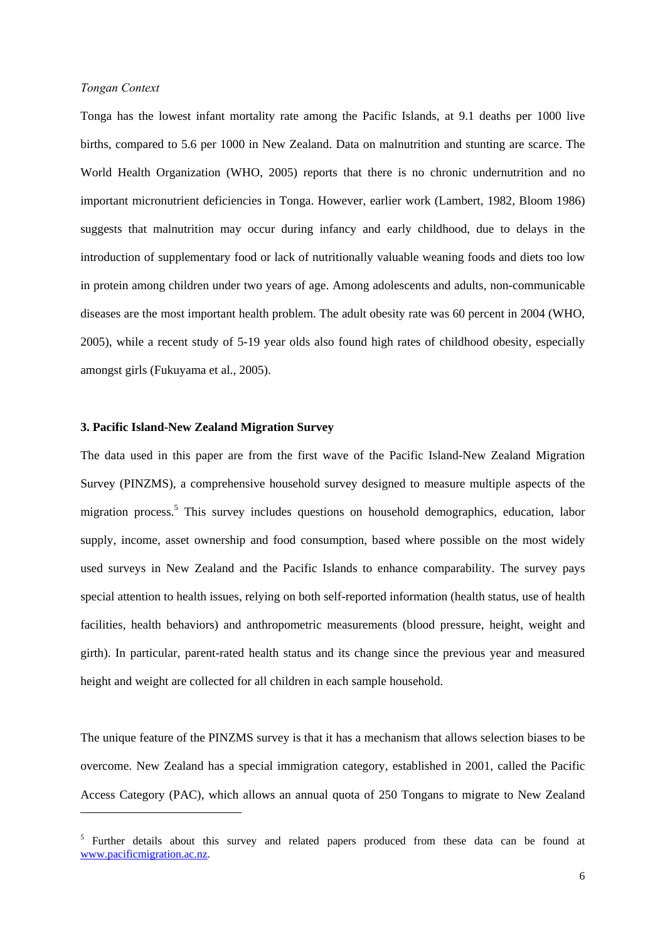## *Tongan Context*

 $\overline{a}$ 

Tonga has the lowest infant mortality rate among the Pacific Islands, at 9.1 deaths per 1000 live births, compared to 5.6 per 1000 in New Zealand. Data on malnutrition and stunting are scarce. The World Health Organization (WHO, 2005) reports that there is no chronic undernutrition and no important micronutrient deficiencies in Tonga. However, earlier work (Lambert, 1982, Bloom 1986) suggests that malnutrition may occur during infancy and early childhood, due to delays in the introduction of supplementary food or lack of nutritionally valuable weaning foods and diets too low in protein among children under two years of age. Among adolescents and adults, non-communicable diseases are the most important health problem. The adult obesity rate was 60 percent in 2004 (WHO, 2005), while a recent study of 5-19 year olds also found high rates of childhood obesity, especially amongst girls (Fukuyama et al., 2005).

## **3. Pacific Island-New Zealand Migration Survey**

The data used in this paper are from the first wave of the Pacific Island-New Zealand Migration Survey (PINZMS), a comprehensive household survey designed to measure multiple aspects of the migration process.<sup>5</sup> This survey includes questions on household demographics, education, labor supply, income, asset ownership and food consumption, based where possible on the most widely used surveys in New Zealand and the Pacific Islands to enhance comparability. The survey pays special attention to health issues, relying on both self-reported information (health status, use of health facilities, health behaviors) and anthropometric measurements (blood pressure, height, weight and girth). In particular, parent-rated health status and its change since the previous year and measured height and weight are collected for all children in each sample household.

The unique feature of the PINZMS survey is that it has a mechanism that allows selection biases to be overcome. New Zealand has a special immigration category, established in 2001, called the Pacific Access Category (PAC), which allows an annual quota of 250 Tongans to migrate to New Zealand

<sup>&</sup>lt;sup>5</sup> Further details about this survey and related papers produced from these data can be found at www.pacificmigration.ac.nz.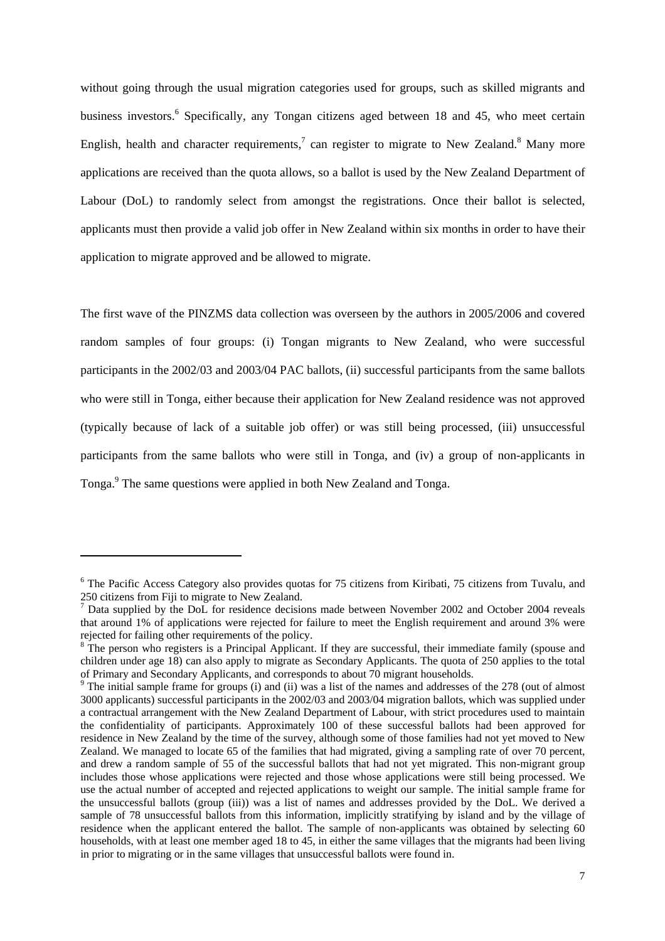without going through the usual migration categories used for groups, such as skilled migrants and business investors.<sup>6</sup> Specifically, any Tongan citizens aged between 18 and 45, who meet certain English, health and character requirements,<sup>7</sup> can register to migrate to New Zealand.<sup>8</sup> Many more applications are received than the quota allows, so a ballot is used by the New Zealand Department of Labour (DoL) to randomly select from amongst the registrations. Once their ballot is selected, applicants must then provide a valid job offer in New Zealand within six months in order to have their application to migrate approved and be allowed to migrate.

The first wave of the PINZMS data collection was overseen by the authors in 2005/2006 and covered random samples of four groups: (i) Tongan migrants to New Zealand, who were successful participants in the 2002/03 and 2003/04 PAC ballots, (ii) successful participants from the same ballots who were still in Tonga, either because their application for New Zealand residence was not approved (typically because of lack of a suitable job offer) or was still being processed, (iii) unsuccessful participants from the same ballots who were still in Tonga, and (iv) a group of non-applicants in Tonga.<sup>9</sup> The same questions were applied in both New Zealand and Tonga.

<sup>&</sup>lt;sup>6</sup> The Pacific Access Category also provides quotas for 75 citizens from Kiribati, 75 citizens from Tuvalu, and

<sup>250</sup> citizens from Fiji to migrate to New Zealand.<br><sup>7</sup> Data supplied by the DoL for residence decisions made between November 2002 and October 2004 reveals that around 1% of applications were rejected for failure to meet the English requirement and around 3% were rejected for failing other requirements of the policy.

 $8$  The person who registers is a Principal Applicant. If they are successful, their immediate family (spouse and children under age 18) can also apply to migrate as Secondary Applicants. The quota of 250 applies to the total of Primary and Secondary Applicants, and corresponds to about 70 migrant households.<br><sup>9</sup> The initial sample frame for groups (i) and (ii) was a list of the names and addresses of the 278 (out of almost

<sup>3000</sup> applicants) successful participants in the 2002/03 and 2003/04 migration ballots, which was supplied under a contractual arrangement with the New Zealand Department of Labour, with strict procedures used to maintain the confidentiality of participants. Approximately 100 of these successful ballots had been approved for residence in New Zealand by the time of the survey, although some of those families had not yet moved to New Zealand. We managed to locate 65 of the families that had migrated, giving a sampling rate of over 70 percent, and drew a random sample of 55 of the successful ballots that had not yet migrated. This non-migrant group includes those whose applications were rejected and those whose applications were still being processed. We use the actual number of accepted and rejected applications to weight our sample. The initial sample frame for the unsuccessful ballots (group (iii)) was a list of names and addresses provided by the DoL. We derived a sample of 78 unsuccessful ballots from this information, implicitly stratifying by island and by the village of residence when the applicant entered the ballot. The sample of non-applicants was obtained by selecting 60 households, with at least one member aged 18 to 45, in either the same villages that the migrants had been living in prior to migrating or in the same villages that unsuccessful ballots were found in.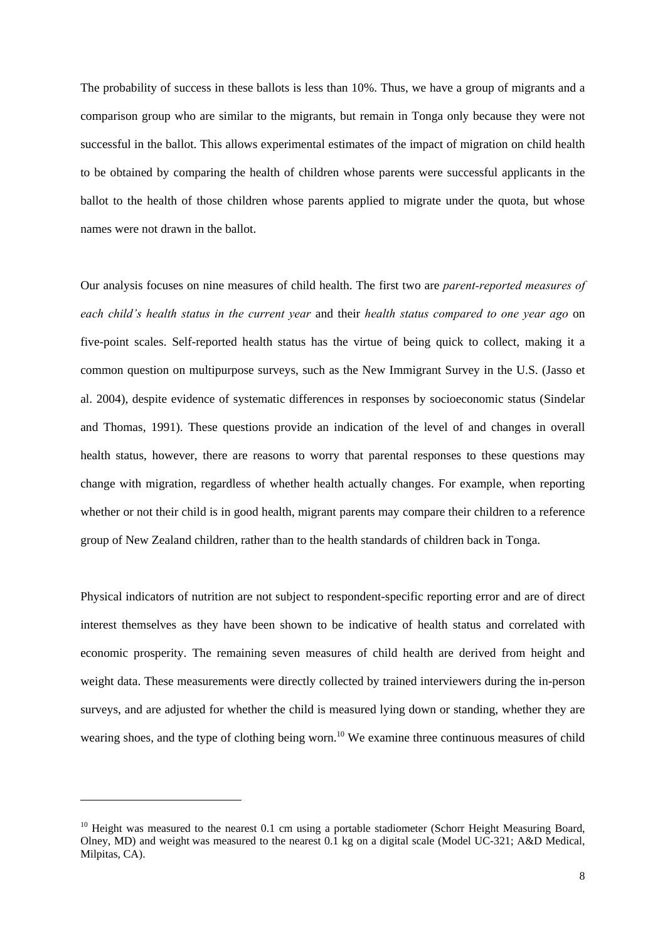The probability of success in these ballots is less than 10%. Thus, we have a group of migrants and a comparison group who are similar to the migrants, but remain in Tonga only because they were not successful in the ballot. This allows experimental estimates of the impact of migration on child health to be obtained by comparing the health of children whose parents were successful applicants in the ballot to the health of those children whose parents applied to migrate under the quota, but whose names were not drawn in the ballot.

Our analysis focuses on nine measures of child health. The first two are *parent-reported measures of each child's health status in the current year* and their *health status compared to one year ago* on five-point scales. Self-reported health status has the virtue of being quick to collect, making it a common question on multipurpose surveys, such as the New Immigrant Survey in the U.S. (Jasso et al. 2004), despite evidence of systematic differences in responses by socioeconomic status (Sindelar and Thomas, 1991). These questions provide an indication of the level of and changes in overall health status, however, there are reasons to worry that parental responses to these questions may change with migration, regardless of whether health actually changes. For example, when reporting whether or not their child is in good health, migrant parents may compare their children to a reference group of New Zealand children, rather than to the health standards of children back in Tonga.

Physical indicators of nutrition are not subject to respondent-specific reporting error and are of direct interest themselves as they have been shown to be indicative of health status and correlated with economic prosperity. The remaining seven measures of child health are derived from height and weight data. These measurements were directly collected by trained interviewers during the in-person surveys, and are adjusted for whether the child is measured lying down or standing, whether they are wearing shoes, and the type of clothing being worn.<sup>10</sup> We examine three continuous measures of child

 $10$  Height was measured to the nearest 0.1 cm using a portable stadiometer (Schorr Height Measuring Board, Olney, MD) and weight was measured to the nearest 0.1 kg on a digital scale (Model UC-321; A&D Medical, Milpitas, CA).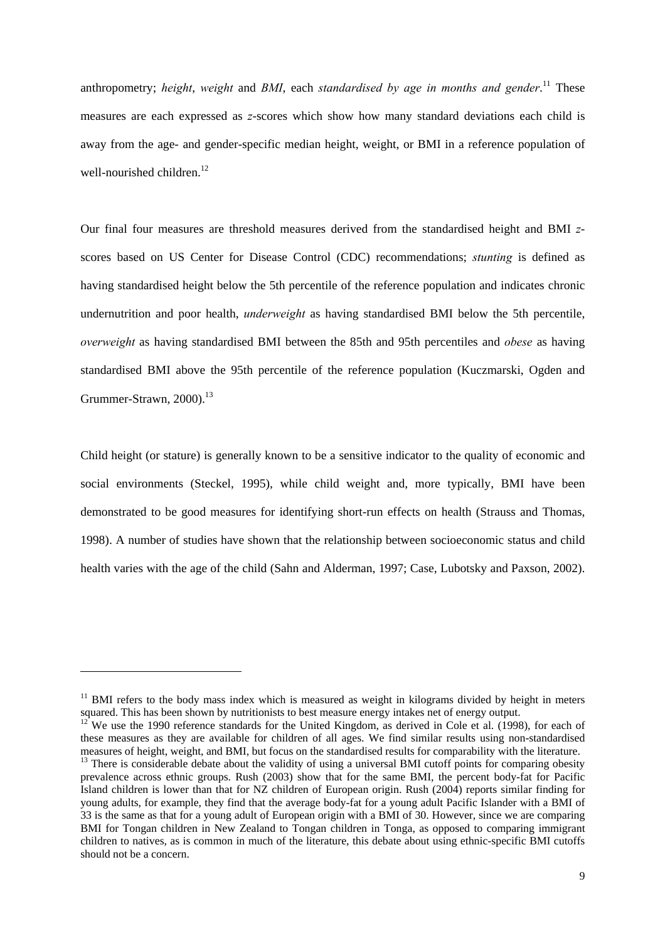anthropometry; *height*, *weight* and *BMI*, each *standardised by age in months and gender*. 11 These measures are each expressed as *z*-scores which show how many standard deviations each child is away from the age- and gender-specific median height, weight, or BMI in a reference population of well-nourished children. $12$ 

Our final four measures are threshold measures derived from the standardised height and BMI *z*scores based on US Center for Disease Control (CDC) recommendations; *stunting* is defined as having standardised height below the 5th percentile of the reference population and indicates chronic undernutrition and poor health, *underweight* as having standardised BMI below the 5th percentile, *overweight* as having standardised BMI between the 85th and 95th percentiles and *obese* as having standardised BMI above the 95th percentile of the reference population (Kuczmarski, Ogden and Grummer-Strawn,  $2000$ <sup>13</sup>

Child height (or stature) is generally known to be a sensitive indicator to the quality of economic and social environments (Steckel, 1995), while child weight and, more typically, BMI have been demonstrated to be good measures for identifying short-run effects on health (Strauss and Thomas, 1998). A number of studies have shown that the relationship between socioeconomic status and child health varies with the age of the child (Sahn and Alderman, 1997; Case, Lubotsky and Paxson, 2002).

 $11$  BMI refers to the body mass index which is measured as weight in kilograms divided by height in meters squared. This has been shown by nutritionists to best measure energy intakes net of energy output.

<sup>12</sup> We use the 1990 reference standards for the United Kingdom, as derived in Cole et al. (1998), for each of these measures as they are available for children of all ages. We find similar results using non-standardised measures of height, weight, and BMI, but focus on the standardised results for comparability with the literature

<sup>&</sup>lt;sup>13</sup> There is considerable debate about the validity of using a universal BMI cutoff points for comparing obesity prevalence across ethnic groups. Rush (2003) show that for the same BMI, the percent body-fat for Pacific Island children is lower than that for NZ children of European origin. Rush (2004) reports similar finding for young adults, for example, they find that the average body-fat for a young adult Pacific Islander with a BMI of 33 is the same as that for a young adult of European origin with a BMI of 30. However, since we are comparing BMI for Tongan children in New Zealand to Tongan children in Tonga, as opposed to comparing immigrant children to natives, as is common in much of the literature, this debate about using ethnic-specific BMI cutoffs should not be a concern.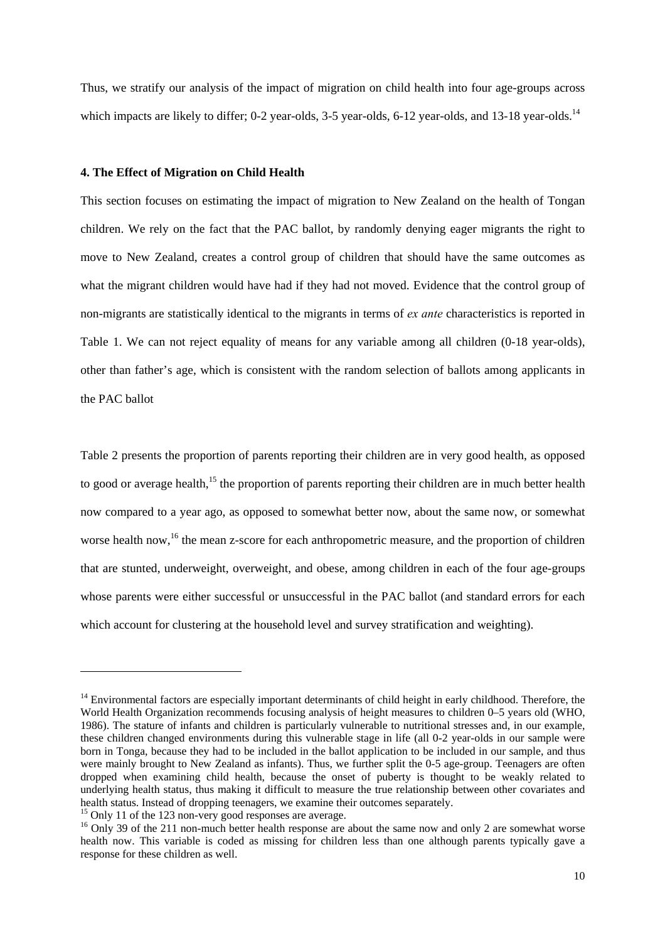Thus, we stratify our analysis of the impact of migration on child health into four age-groups across which impacts are likely to differ; 0-2 year-olds, 3-5 year-olds, 6-12 year-olds, and 13-18 year-olds.<sup>14</sup>

#### **4. The Effect of Migration on Child Health**

This section focuses on estimating the impact of migration to New Zealand on the health of Tongan children. We rely on the fact that the PAC ballot, by randomly denying eager migrants the right to move to New Zealand, creates a control group of children that should have the same outcomes as what the migrant children would have had if they had not moved. Evidence that the control group of non-migrants are statistically identical to the migrants in terms of *ex ante* characteristics is reported in Table 1. We can not reject equality of means for any variable among all children (0-18 year-olds), other than father's age, which is consistent with the random selection of ballots among applicants in the PAC ballot

Table 2 presents the proportion of parents reporting their children are in very good health, as opposed to good or average health,<sup>15</sup> the proportion of parents reporting their children are in much better health now compared to a year ago, as opposed to somewhat better now, about the same now, or somewhat worse health now,<sup>16</sup> the mean z-score for each anthropometric measure, and the proportion of children that are stunted, underweight, overweight, and obese, among children in each of the four age-groups whose parents were either successful or unsuccessful in the PAC ballot (and standard errors for each which account for clustering at the household level and survey stratification and weighting).

 $14$  Environmental factors are especially important determinants of child height in early childhood. Therefore, the World Health Organization recommends focusing analysis of height measures to children 0–5 years old (WHO, 1986). The stature of infants and children is particularly vulnerable to nutritional stresses and, in our example, these children changed environments during this vulnerable stage in life (all 0-2 year-olds in our sample were born in Tonga, because they had to be included in the ballot application to be included in our sample, and thus were mainly brought to New Zealand as infants). Thus, we further split the 0-5 age-group. Teenagers are often dropped when examining child health, because the onset of puberty is thought to be weakly related to underlying health status, thus making it difficult to measure the true relationship between other covariates and health status. Instead of dropping teenagers, we examine their outcomes separately.

 $\frac{15}{15}$  Only 11 of the 123 non-very good responses are average.

<sup>&</sup>lt;sup>16</sup> Only 39 of the 211 non-much better health response are about the same now and only 2 are somewhat worse health now. This variable is coded as missing for children less than one although parents typically gave a response for these children as well.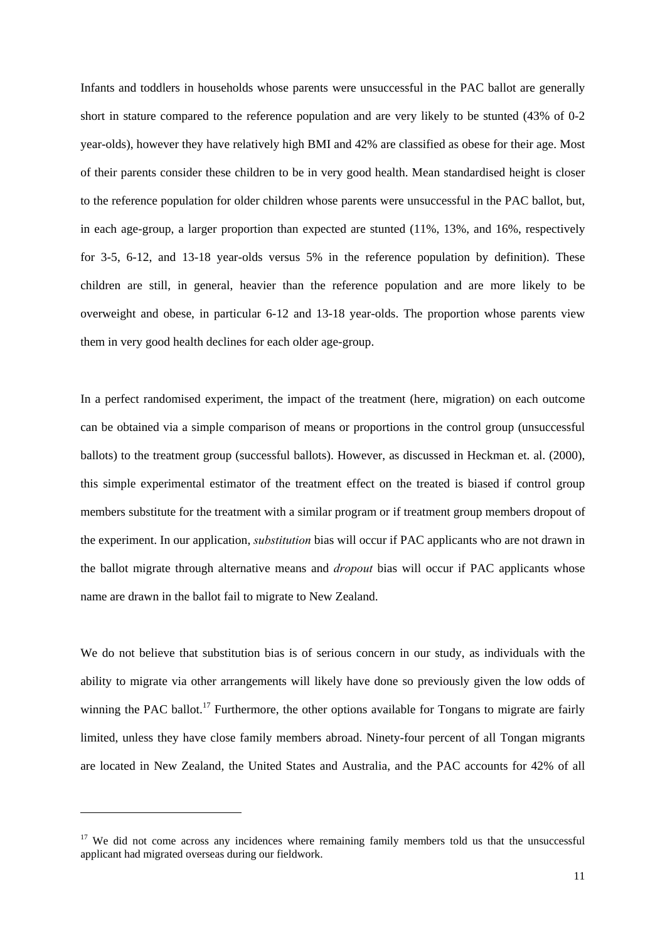Infants and toddlers in households whose parents were unsuccessful in the PAC ballot are generally short in stature compared to the reference population and are very likely to be stunted (43% of 0-2 year-olds), however they have relatively high BMI and 42% are classified as obese for their age. Most of their parents consider these children to be in very good health. Mean standardised height is closer to the reference population for older children whose parents were unsuccessful in the PAC ballot, but, in each age-group, a larger proportion than expected are stunted (11%, 13%, and 16%, respectively for 3-5, 6-12, and 13-18 year-olds versus 5% in the reference population by definition). These children are still, in general, heavier than the reference population and are more likely to be overweight and obese, in particular 6-12 and 13-18 year-olds. The proportion whose parents view them in very good health declines for each older age-group.

In a perfect randomised experiment, the impact of the treatment (here, migration) on each outcome can be obtained via a simple comparison of means or proportions in the control group (unsuccessful ballots) to the treatment group (successful ballots). However, as discussed in Heckman et. al. (2000), this simple experimental estimator of the treatment effect on the treated is biased if control group members substitute for the treatment with a similar program or if treatment group members dropout of the experiment. In our application, *substitution* bias will occur if PAC applicants who are not drawn in the ballot migrate through alternative means and *dropout* bias will occur if PAC applicants whose name are drawn in the ballot fail to migrate to New Zealand.

We do not believe that substitution bias is of serious concern in our study, as individuals with the ability to migrate via other arrangements will likely have done so previously given the low odds of winning the PAC ballot.<sup>17</sup> Furthermore, the other options available for Tongans to migrate are fairly limited, unless they have close family members abroad. Ninety-four percent of all Tongan migrants are located in New Zealand, the United States and Australia, and the PAC accounts for 42% of all

<sup>&</sup>lt;sup>17</sup> We did not come across any incidences where remaining family members told us that the unsuccessful applicant had migrated overseas during our fieldwork.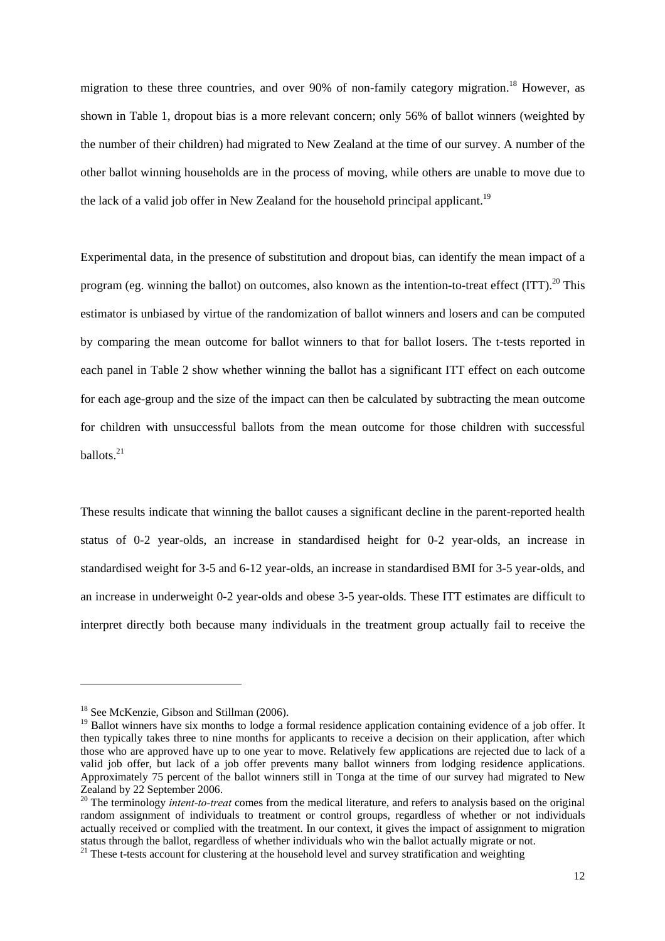migration to these three countries, and over 90% of non-family category migration.<sup>18</sup> However, as shown in Table 1, dropout bias is a more relevant concern; only 56% of ballot winners (weighted by the number of their children) had migrated to New Zealand at the time of our survey. A number of the other ballot winning households are in the process of moving, while others are unable to move due to the lack of a valid job offer in New Zealand for the household principal applicant.<sup>19</sup>

Experimental data, in the presence of substitution and dropout bias, can identify the mean impact of a program (eg. winning the ballot) on outcomes, also known as the intention-to-treat effect (ITT).<sup>20</sup> This estimator is unbiased by virtue of the randomization of ballot winners and losers and can be computed by comparing the mean outcome for ballot winners to that for ballot losers. The t-tests reported in each panel in Table 2 show whether winning the ballot has a significant ITT effect on each outcome for each age-group and the size of the impact can then be calculated by subtracting the mean outcome for children with unsuccessful ballots from the mean outcome for those children with successful ballots. $21$ 

These results indicate that winning the ballot causes a significant decline in the parent-reported health status of 0-2 year-olds, an increase in standardised height for 0-2 year-olds, an increase in standardised weight for 3-5 and 6-12 year-olds, an increase in standardised BMI for 3-5 year-olds, and an increase in underweight 0-2 year-olds and obese 3-5 year-olds. These ITT estimates are difficult to interpret directly both because many individuals in the treatment group actually fail to receive the

<sup>&</sup>lt;sup>18</sup> See McKenzie, Gibson and Stillman (2006).

<sup>&</sup>lt;sup>19</sup> Ballot winners have six months to lodge a formal residence application containing evidence of a job offer. It then typically takes three to nine months for applicants to receive a decision on their application, after which those who are approved have up to one year to move. Relatively few applications are rejected due to lack of a valid job offer, but lack of a job offer prevents many ballot winners from lodging residence applications. Approximately 75 percent of the ballot winners still in Tonga at the time of our survey had migrated to New Zealand by 22 September 2006.

<sup>&</sup>lt;sup>20</sup> The terminology *intent-to-treat* comes from the medical literature, and refers to analysis based on the original random assignment of individuals to treatment or control groups, regardless of whether or not individuals actually received or complied with the treatment. In our context, it gives the impact of assignment to migration status through the ballot, regardless of whether individuals who win the ballot actually migrate or not. 21 These t-tests account for clustering at the household level and survey stratification and weighting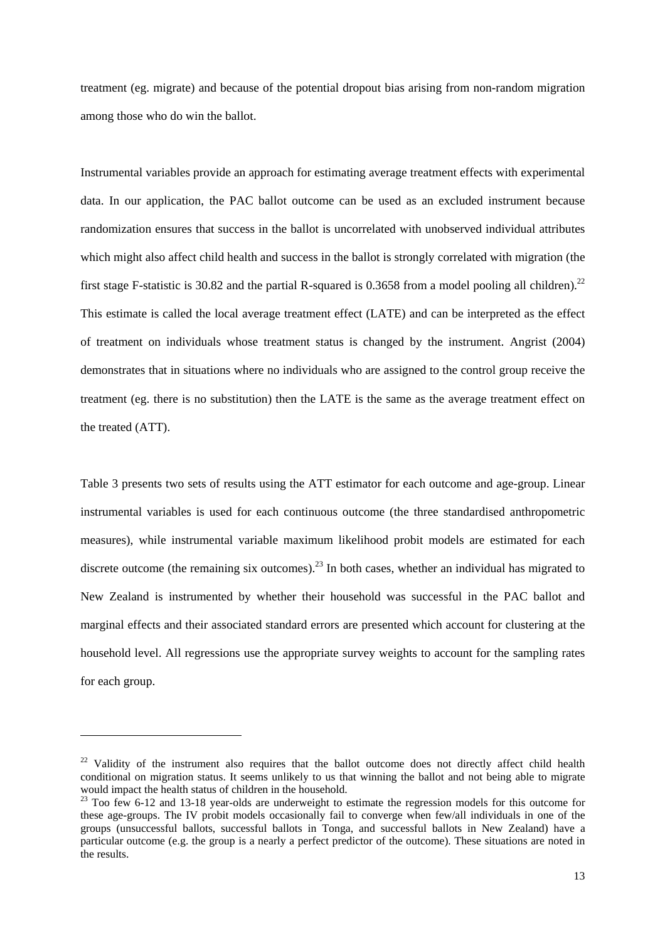treatment (eg. migrate) and because of the potential dropout bias arising from non-random migration among those who do win the ballot.

Instrumental variables provide an approach for estimating average treatment effects with experimental data. In our application, the PAC ballot outcome can be used as an excluded instrument because randomization ensures that success in the ballot is uncorrelated with unobserved individual attributes which might also affect child health and success in the ballot is strongly correlated with migration (the first stage F-statistic is 30.82 and the partial R-squared is 0.3658 from a model pooling all children).<sup>22</sup> This estimate is called the local average treatment effect (LATE) and can be interpreted as the effect of treatment on individuals whose treatment status is changed by the instrument. Angrist (2004) demonstrates that in situations where no individuals who are assigned to the control group receive the treatment (eg. there is no substitution) then the LATE is the same as the average treatment effect on the treated (ATT).

Table 3 presents two sets of results using the ATT estimator for each outcome and age-group. Linear instrumental variables is used for each continuous outcome (the three standardised anthropometric measures), while instrumental variable maximum likelihood probit models are estimated for each discrete outcome (the remaining six outcomes).<sup>23</sup> In both cases, whether an individual has migrated to New Zealand is instrumented by whether their household was successful in the PAC ballot and marginal effects and their associated standard errors are presented which account for clustering at the household level. All regressions use the appropriate survey weights to account for the sampling rates for each group.

<sup>&</sup>lt;sup>22</sup> Validity of the instrument also requires that the ballot outcome does not directly affect child health conditional on migration status. It seems unlikely to us that winning the ballot and not being able to migrate would impact the health status of children in the household.

<sup>&</sup>lt;sup>23</sup> Too few 6-12 and 13-18 year-olds are underweight to estimate the regression models for this outcome for these age-groups. The IV probit models occasionally fail to converge when few/all individuals in one of the groups (unsuccessful ballots, successful ballots in Tonga, and successful ballots in New Zealand) have a particular outcome (e.g. the group is a nearly a perfect predictor of the outcome). These situations are noted in the results.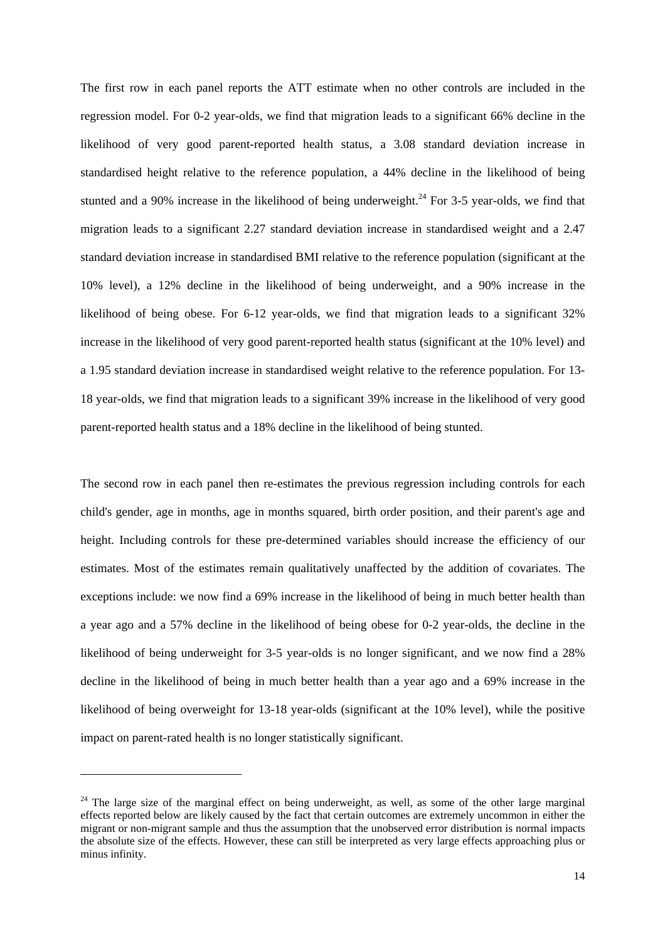The first row in each panel reports the ATT estimate when no other controls are included in the regression model. For 0-2 year-olds, we find that migration leads to a significant 66% decline in the likelihood of very good parent-reported health status, a 3.08 standard deviation increase in standardised height relative to the reference population, a 44% decline in the likelihood of being stunted and a 90% increase in the likelihood of being underweight.<sup>24</sup> For 3-5 year-olds, we find that migration leads to a significant 2.27 standard deviation increase in standardised weight and a 2.47 standard deviation increase in standardised BMI relative to the reference population (significant at the 10% level), a 12% decline in the likelihood of being underweight, and a 90% increase in the likelihood of being obese. For 6-12 year-olds, we find that migration leads to a significant 32% increase in the likelihood of very good parent-reported health status (significant at the 10% level) and a 1.95 standard deviation increase in standardised weight relative to the reference population. For 13- 18 year-olds, we find that migration leads to a significant 39% increase in the likelihood of very good parent-reported health status and a 18% decline in the likelihood of being stunted.

The second row in each panel then re-estimates the previous regression including controls for each child's gender, age in months, age in months squared, birth order position, and their parent's age and height. Including controls for these pre-determined variables should increase the efficiency of our estimates. Most of the estimates remain qualitatively unaffected by the addition of covariates. The exceptions include: we now find a 69% increase in the likelihood of being in much better health than a year ago and a 57% decline in the likelihood of being obese for 0-2 year-olds, the decline in the likelihood of being underweight for 3-5 year-olds is no longer significant, and we now find a 28% decline in the likelihood of being in much better health than a year ago and a 69% increase in the likelihood of being overweight for 13-18 year-olds (significant at the 10% level), while the positive impact on parent-rated health is no longer statistically significant.

<sup>&</sup>lt;sup>24</sup> The large size of the marginal effect on being underweight, as well, as some of the other large marginal effects reported below are likely caused by the fact that certain outcomes are extremely uncommon in either the migrant or non-migrant sample and thus the assumption that the unobserved error distribution is normal impacts the absolute size of the effects. However, these can still be interpreted as very large effects approaching plus or minus infinity.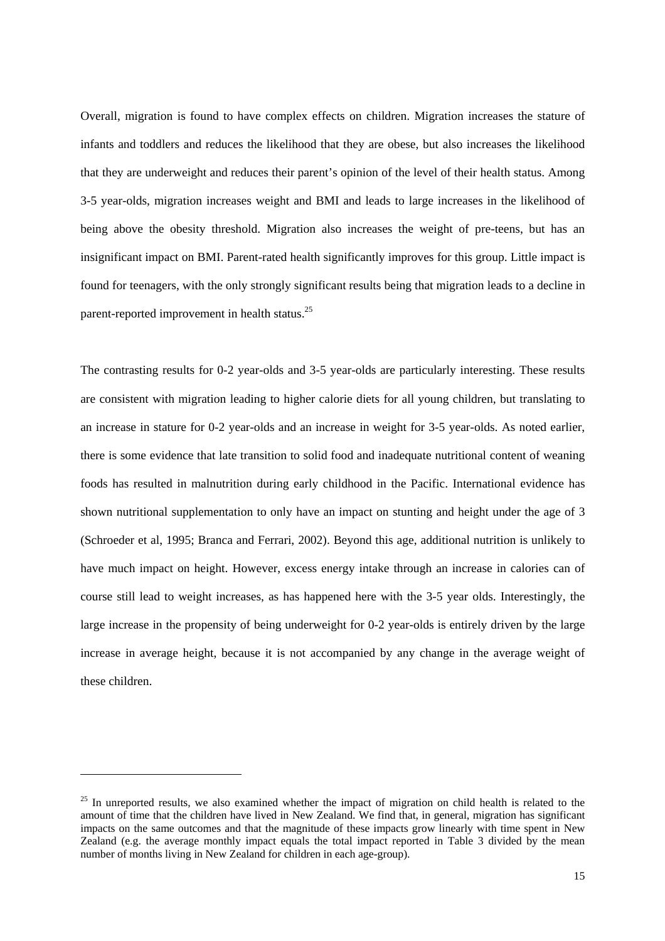Overall, migration is found to have complex effects on children. Migration increases the stature of infants and toddlers and reduces the likelihood that they are obese, but also increases the likelihood that they are underweight and reduces their parent's opinion of the level of their health status. Among 3-5 year-olds, migration increases weight and BMI and leads to large increases in the likelihood of being above the obesity threshold. Migration also increases the weight of pre-teens, but has an insignificant impact on BMI. Parent-rated health significantly improves for this group. Little impact is found for teenagers, with the only strongly significant results being that migration leads to a decline in parent-reported improvement in health status.25

The contrasting results for 0-2 year-olds and 3-5 year-olds are particularly interesting. These results are consistent with migration leading to higher calorie diets for all young children, but translating to an increase in stature for 0-2 year-olds and an increase in weight for 3-5 year-olds. As noted earlier, there is some evidence that late transition to solid food and inadequate nutritional content of weaning foods has resulted in malnutrition during early childhood in the Pacific. International evidence has shown nutritional supplementation to only have an impact on stunting and height under the age of 3 (Schroeder et al, 1995; Branca and Ferrari, 2002). Beyond this age, additional nutrition is unlikely to have much impact on height. However, excess energy intake through an increase in calories can of course still lead to weight increases, as has happened here with the 3-5 year olds. Interestingly, the large increase in the propensity of being underweight for 0-2 year-olds is entirely driven by the large increase in average height, because it is not accompanied by any change in the average weight of these children.

<sup>&</sup>lt;sup>25</sup> In unreported results, we also examined whether the impact of migration on child health is related to the amount of time that the children have lived in New Zealand. We find that, in general, migration has significant impacts on the same outcomes and that the magnitude of these impacts grow linearly with time spent in New Zealand (e.g. the average monthly impact equals the total impact reported in Table 3 divided by the mean number of months living in New Zealand for children in each age-group).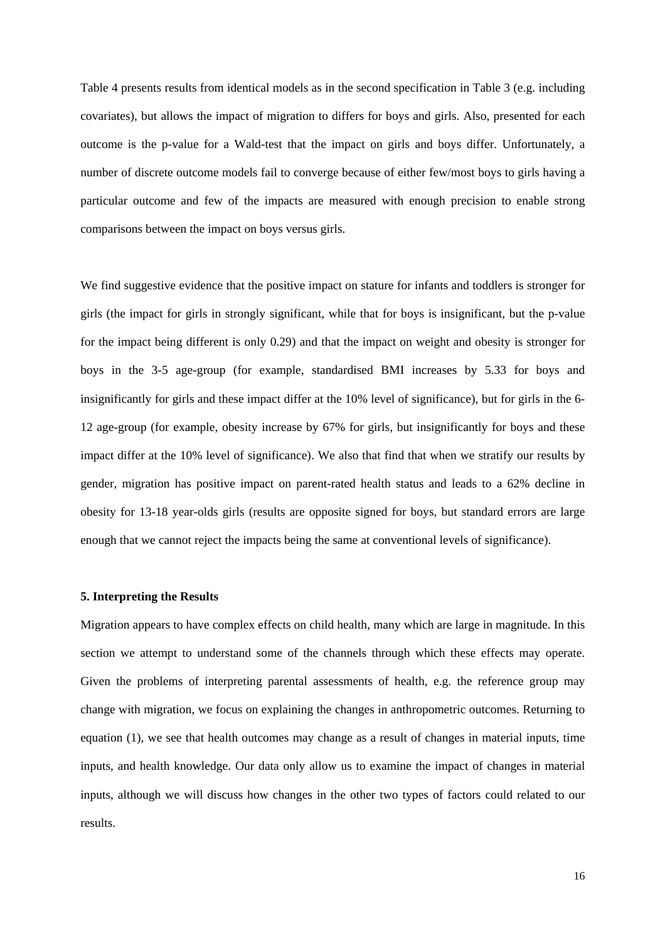Table 4 presents results from identical models as in the second specification in Table 3 (e.g. including covariates), but allows the impact of migration to differs for boys and girls. Also, presented for each outcome is the p-value for a Wald-test that the impact on girls and boys differ. Unfortunately, a number of discrete outcome models fail to converge because of either few/most boys to girls having a particular outcome and few of the impacts are measured with enough precision to enable strong comparisons between the impact on boys versus girls.

We find suggestive evidence that the positive impact on stature for infants and toddlers is stronger for girls (the impact for girls in strongly significant, while that for boys is insignificant, but the p-value for the impact being different is only 0.29) and that the impact on weight and obesity is stronger for boys in the 3-5 age-group (for example, standardised BMI increases by 5.33 for boys and insignificantly for girls and these impact differ at the 10% level of significance), but for girls in the 6- 12 age-group (for example, obesity increase by 67% for girls, but insignificantly for boys and these impact differ at the 10% level of significance). We also that find that when we stratify our results by gender, migration has positive impact on parent-rated health status and leads to a 62% decline in obesity for 13-18 year-olds girls (results are opposite signed for boys, but standard errors are large enough that we cannot reject the impacts being the same at conventional levels of significance).

# **5. Interpreting the Results**

Migration appears to have complex effects on child health, many which are large in magnitude. In this section we attempt to understand some of the channels through which these effects may operate. Given the problems of interpreting parental assessments of health, e.g. the reference group may change with migration, we focus on explaining the changes in anthropometric outcomes. Returning to equation (1), we see that health outcomes may change as a result of changes in material inputs, time inputs, and health knowledge. Our data only allow us to examine the impact of changes in material inputs, although we will discuss how changes in the other two types of factors could related to our results.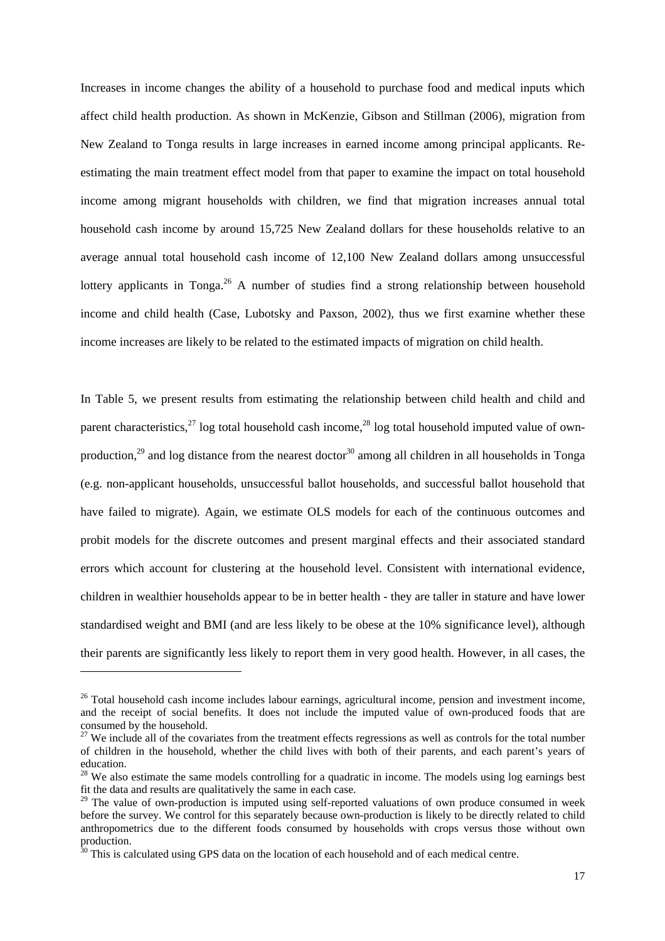Increases in income changes the ability of a household to purchase food and medical inputs which affect child health production. As shown in McKenzie, Gibson and Stillman (2006), migration from New Zealand to Tonga results in large increases in earned income among principal applicants. Reestimating the main treatment effect model from that paper to examine the impact on total household income among migrant households with children, we find that migration increases annual total household cash income by around 15,725 New Zealand dollars for these households relative to an average annual total household cash income of 12,100 New Zealand dollars among unsuccessful lottery applicants in Tonga.<sup>26</sup> A number of studies find a strong relationship between household income and child health (Case, Lubotsky and Paxson, 2002), thus we first examine whether these income increases are likely to be related to the estimated impacts of migration on child health.

In Table 5, we present results from estimating the relationship between child health and child and parent characteristics,<sup>27</sup> log total household cash income,<sup>28</sup> log total household imputed value of ownproduction,<sup>29</sup> and log distance from the nearest doctor<sup>30</sup> among all children in all households in Tonga (e.g. non-applicant households, unsuccessful ballot households, and successful ballot household that have failed to migrate). Again, we estimate OLS models for each of the continuous outcomes and probit models for the discrete outcomes and present marginal effects and their associated standard errors which account for clustering at the household level. Consistent with international evidence, children in wealthier households appear to be in better health - they are taller in stature and have lower standardised weight and BMI (and are less likely to be obese at the 10% significance level), although their parents are significantly less likely to report them in very good health. However, in all cases, the

<sup>&</sup>lt;sup>26</sup> Total household cash income includes labour earnings, agricultural income, pension and investment income, and the receipt of social benefits. It does not include the imputed value of own-produced foods that are consumed by the household.

 $27$  We include all of the covariates from the treatment effects regressions as well as controls for the total number of children in the household, whether the child lives with both of their parents, and each parent's years of education.

<sup>&</sup>lt;sup>28</sup> We also estimate the same models controlling for a quadratic in income. The models using log earnings best fit the data and results are qualitatively the same in each case.

<sup>&</sup>lt;sup>29</sup> The value of own-production is imputed using self-reported valuations of own produce consumed in week before the survey. We control for this separately because own-production is likely to be directly related to child anthropometrics due to the different foods consumed by households with crops versus those without own production.

 $30$  This is calculated using GPS data on the location of each household and of each medical centre.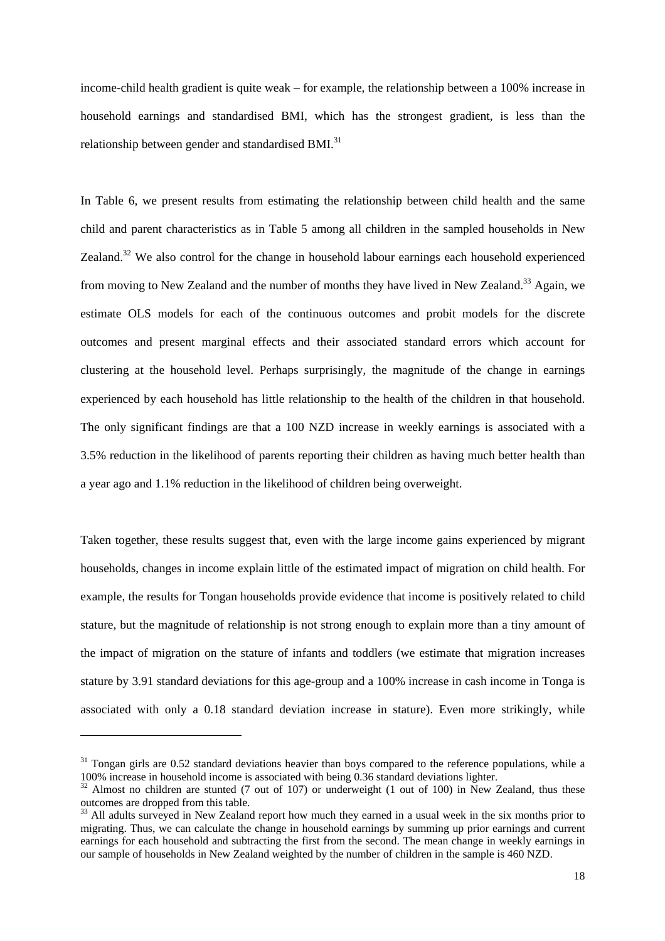income-child health gradient is quite weak – for example, the relationship between a 100% increase in household earnings and standardised BMI, which has the strongest gradient, is less than the relationship between gender and standardised BMI.<sup>31</sup>

In Table 6, we present results from estimating the relationship between child health and the same child and parent characteristics as in Table 5 among all children in the sampled households in New Zealand.<sup>32</sup> We also control for the change in household labour earnings each household experienced from moving to New Zealand and the number of months they have lived in New Zealand.<sup>33</sup> Again, we estimate OLS models for each of the continuous outcomes and probit models for the discrete outcomes and present marginal effects and their associated standard errors which account for clustering at the household level. Perhaps surprisingly, the magnitude of the change in earnings experienced by each household has little relationship to the health of the children in that household. The only significant findings are that a 100 NZD increase in weekly earnings is associated with a 3.5% reduction in the likelihood of parents reporting their children as having much better health than a year ago and 1.1% reduction in the likelihood of children being overweight.

Taken together, these results suggest that, even with the large income gains experienced by migrant households, changes in income explain little of the estimated impact of migration on child health. For example, the results for Tongan households provide evidence that income is positively related to child stature, but the magnitude of relationship is not strong enough to explain more than a tiny amount of the impact of migration on the stature of infants and toddlers (we estimate that migration increases stature by 3.91 standard deviations for this age-group and a 100% increase in cash income in Tonga is associated with only a 0.18 standard deviation increase in stature). Even more strikingly, while

<sup>&</sup>lt;sup>31</sup> Tongan girls are 0.52 standard deviations heavier than boys compared to the reference populations, while a 100% increase in household income is associated with being 0.36 standard deviations lighter.

 $32$  Almost no children are stunted (7 out of 107) or underweight (1 out of 100) in New Zealand, thus these outcomes are dropped from this table.

<sup>&</sup>lt;sup>33</sup> All adults surveyed in New Zealand report how much they earned in a usual week in the six months prior to migrating. Thus, we can calculate the change in household earnings by summing up prior earnings and current earnings for each household and subtracting the first from the second. The mean change in weekly earnings in our sample of households in New Zealand weighted by the number of children in the sample is 460 NZD.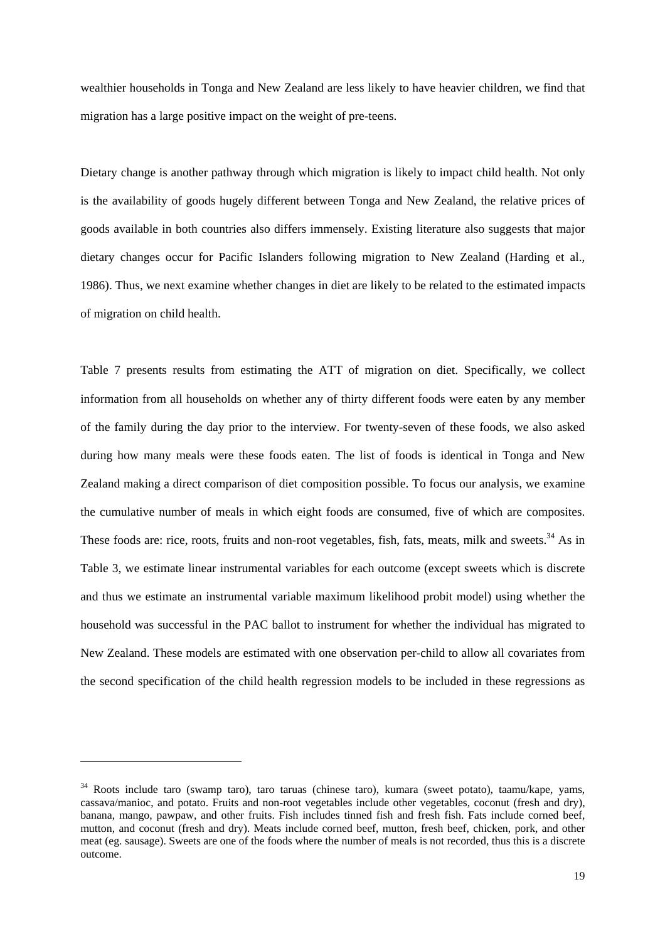wealthier households in Tonga and New Zealand are less likely to have heavier children, we find that migration has a large positive impact on the weight of pre-teens.

Dietary change is another pathway through which migration is likely to impact child health. Not only is the availability of goods hugely different between Tonga and New Zealand, the relative prices of goods available in both countries also differs immensely. Existing literature also suggests that major dietary changes occur for Pacific Islanders following migration to New Zealand (Harding et al., 1986). Thus, we next examine whether changes in diet are likely to be related to the estimated impacts of migration on child health.

Table 7 presents results from estimating the ATT of migration on diet. Specifically, we collect information from all households on whether any of thirty different foods were eaten by any member of the family during the day prior to the interview. For twenty-seven of these foods, we also asked during how many meals were these foods eaten. The list of foods is identical in Tonga and New Zealand making a direct comparison of diet composition possible. To focus our analysis, we examine the cumulative number of meals in which eight foods are consumed, five of which are composites. These foods are: rice, roots, fruits and non-root vegetables, fish, fats, meats, milk and sweets.<sup>34</sup> As in Table 3, we estimate linear instrumental variables for each outcome (except sweets which is discrete and thus we estimate an instrumental variable maximum likelihood probit model) using whether the household was successful in the PAC ballot to instrument for whether the individual has migrated to New Zealand. These models are estimated with one observation per-child to allow all covariates from the second specification of the child health regression models to be included in these regressions as

<sup>34</sup> Roots include taro (swamp taro), taro taruas (chinese taro), kumara (sweet potato), taamu/kape, yams, cassava/manioc, and potato. Fruits and non-root vegetables include other vegetables, coconut (fresh and dry), banana, mango, pawpaw, and other fruits. Fish includes tinned fish and fresh fish. Fats include corned beef, mutton, and coconut (fresh and dry). Meats include corned beef, mutton, fresh beef, chicken, pork, and other meat (eg. sausage). Sweets are one of the foods where the number of meals is not recorded, thus this is a discrete outcome.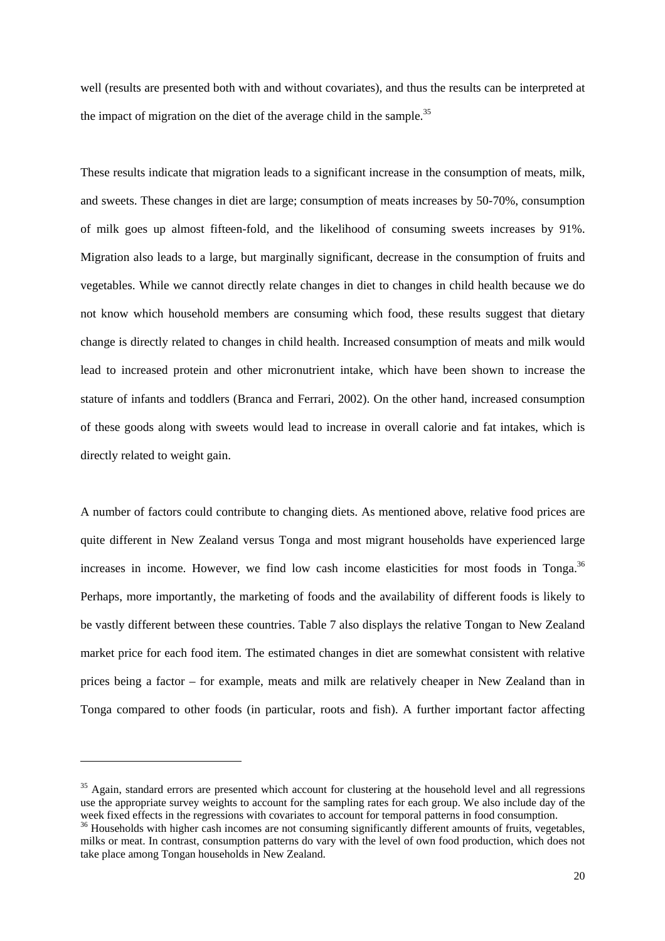well (results are presented both with and without covariates), and thus the results can be interpreted at the impact of migration on the diet of the average child in the sample.<sup>35</sup>

These results indicate that migration leads to a significant increase in the consumption of meats, milk, and sweets. These changes in diet are large; consumption of meats increases by 50-70%, consumption of milk goes up almost fifteen-fold, and the likelihood of consuming sweets increases by 91%. Migration also leads to a large, but marginally significant, decrease in the consumption of fruits and vegetables. While we cannot directly relate changes in diet to changes in child health because we do not know which household members are consuming which food, these results suggest that dietary change is directly related to changes in child health. Increased consumption of meats and milk would lead to increased protein and other micronutrient intake, which have been shown to increase the stature of infants and toddlers (Branca and Ferrari, 2002). On the other hand, increased consumption of these goods along with sweets would lead to increase in overall calorie and fat intakes, which is directly related to weight gain.

A number of factors could contribute to changing diets. As mentioned above, relative food prices are quite different in New Zealand versus Tonga and most migrant households have experienced large increases in income. However, we find low cash income elasticities for most foods in Tonga. $36$ Perhaps, more importantly, the marketing of foods and the availability of different foods is likely to be vastly different between these countries. Table 7 also displays the relative Tongan to New Zealand market price for each food item. The estimated changes in diet are somewhat consistent with relative prices being a factor – for example, meats and milk are relatively cheaper in New Zealand than in Tonga compared to other foods (in particular, roots and fish). A further important factor affecting

<sup>&</sup>lt;sup>35</sup> Again, standard errors are presented which account for clustering at the household level and all regressions use the appropriate survey weights to account for the sampling rates for each group. We also include day of the week fixed effects in the regressions with covariates to account for temporal patterns in food consumption.

<sup>&</sup>lt;sup>36</sup> Households with higher cash incomes are not consuming significantly different amounts of fruits, vegetables, milks or meat. In contrast, consumption patterns do vary with the level of own food production, which does not take place among Tongan households in New Zealand.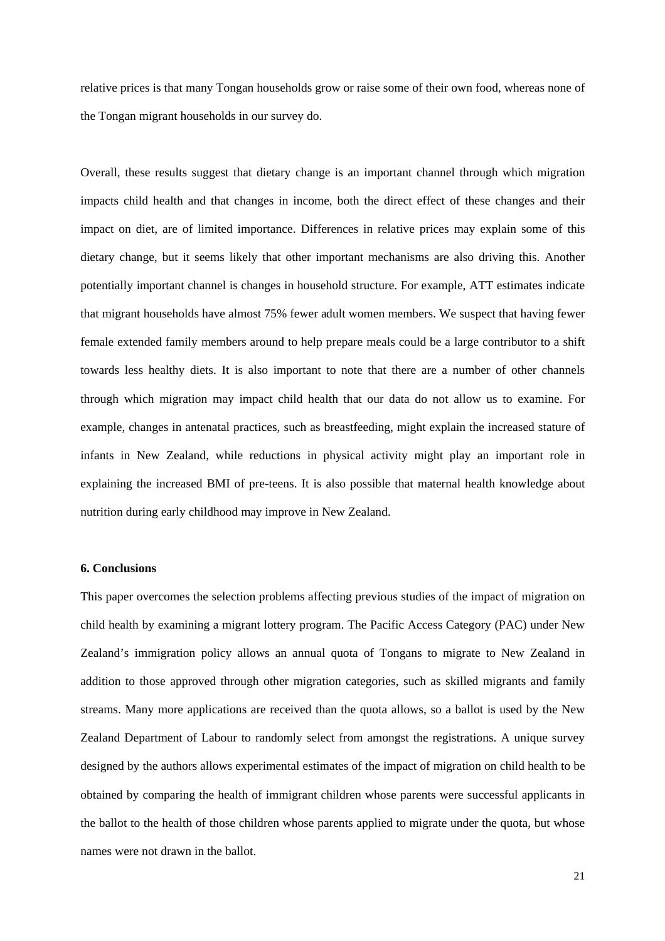relative prices is that many Tongan households grow or raise some of their own food, whereas none of the Tongan migrant households in our survey do.

Overall, these results suggest that dietary change is an important channel through which migration impacts child health and that changes in income, both the direct effect of these changes and their impact on diet, are of limited importance. Differences in relative prices may explain some of this dietary change, but it seems likely that other important mechanisms are also driving this. Another potentially important channel is changes in household structure. For example, ATT estimates indicate that migrant households have almost 75% fewer adult women members. We suspect that having fewer female extended family members around to help prepare meals could be a large contributor to a shift towards less healthy diets. It is also important to note that there are a number of other channels through which migration may impact child health that our data do not allow us to examine. For example, changes in antenatal practices, such as breastfeeding, might explain the increased stature of infants in New Zealand, while reductions in physical activity might play an important role in explaining the increased BMI of pre-teens. It is also possible that maternal health knowledge about nutrition during early childhood may improve in New Zealand.

# **6. Conclusions**

This paper overcomes the selection problems affecting previous studies of the impact of migration on child health by examining a migrant lottery program. The Pacific Access Category (PAC) under New Zealand's immigration policy allows an annual quota of Tongans to migrate to New Zealand in addition to those approved through other migration categories, such as skilled migrants and family streams. Many more applications are received than the quota allows, so a ballot is used by the New Zealand Department of Labour to randomly select from amongst the registrations. A unique survey designed by the authors allows experimental estimates of the impact of migration on child health to be obtained by comparing the health of immigrant children whose parents were successful applicants in the ballot to the health of those children whose parents applied to migrate under the quota, but whose names were not drawn in the ballot.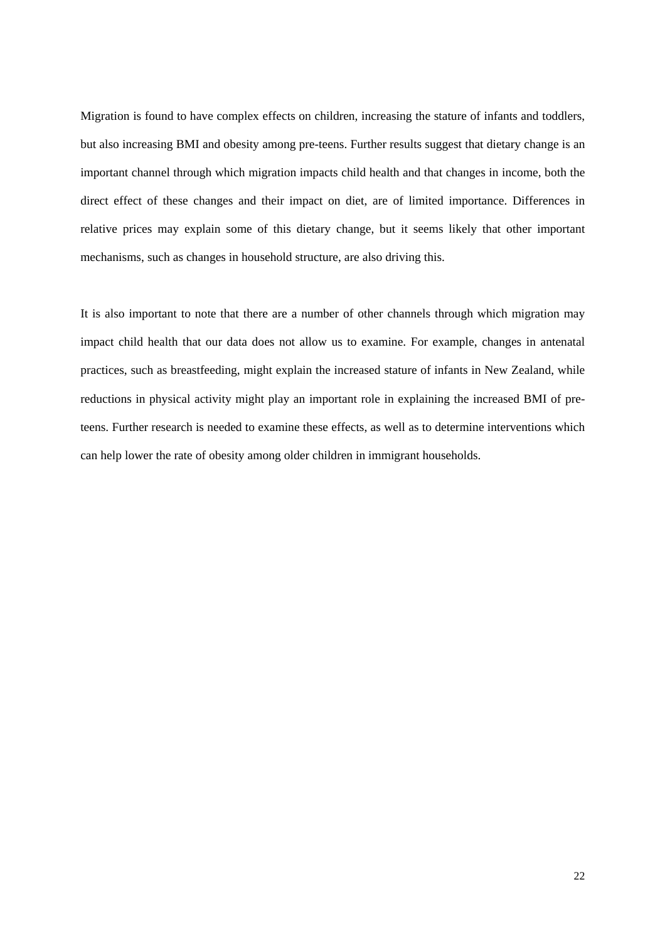Migration is found to have complex effects on children, increasing the stature of infants and toddlers, but also increasing BMI and obesity among pre-teens. Further results suggest that dietary change is an important channel through which migration impacts child health and that changes in income, both the direct effect of these changes and their impact on diet, are of limited importance. Differences in relative prices may explain some of this dietary change, but it seems likely that other important mechanisms, such as changes in household structure, are also driving this.

It is also important to note that there are a number of other channels through which migration may impact child health that our data does not allow us to examine. For example, changes in antenatal practices, such as breastfeeding, might explain the increased stature of infants in New Zealand, while reductions in physical activity might play an important role in explaining the increased BMI of preteens. Further research is needed to examine these effects, as well as to determine interventions which can help lower the rate of obesity among older children in immigrant households.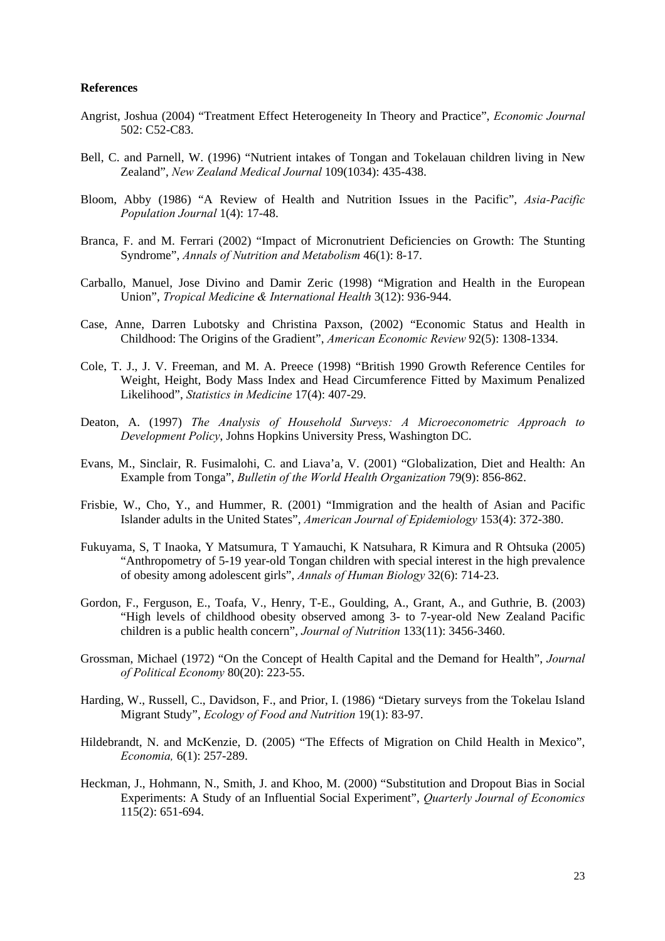## **References**

- Angrist, Joshua (2004) "Treatment Effect Heterogeneity In Theory and Practice", *Economic Journal* 502: C52-C83.
- Bell, C. and Parnell, W. (1996) "Nutrient intakes of Tongan and Tokelauan children living in New Zealand", *New Zealand Medical Journal* 109(1034): 435-438.
- Bloom, Abby (1986) "A Review of Health and Nutrition Issues in the Pacific", *Asia-Pacific Population Journal* 1(4): 17-48.
- Branca, F. and M. Ferrari (2002) "Impact of Micronutrient Deficiencies on Growth: The Stunting Syndrome", *Annals of Nutrition and Metabolism* 46(1): 8-17.
- Carballo, Manuel, Jose Divino and Damir Zeric (1998) "Migration and Health in the European Union", *Tropical Medicine & International Health* 3(12): 936-944.
- Case, Anne, Darren Lubotsky and Christina Paxson, (2002) "Economic Status and Health in Childhood: The Origins of the Gradient", *American Economic Review* 92(5): 1308-1334.
- Cole, T. J., J. V. Freeman, and M. A. Preece (1998) "British 1990 Growth Reference Centiles for Weight, Height, Body Mass Index and Head Circumference Fitted by Maximum Penalized Likelihood", *Statistics in Medicine* 17(4): 407-29.
- Deaton, A. (1997) *The Analysis of Household Surveys: A Microeconometric Approach to Development Policy*, Johns Hopkins University Press, Washington DC.
- Evans, M., Sinclair, R. Fusimalohi, C. and Liava'a, V. (2001) "Globalization, Diet and Health: An Example from Tonga", *Bulletin of the World Health Organization* 79(9): 856-862.
- Frisbie, W., Cho, Y., and Hummer, R. (2001) "Immigration and the health of Asian and Pacific Islander adults in the United States", *American Journal of Epidemiology* 153(4): 372-380.
- Fukuyama, S, T Inaoka, Y Matsumura, T Yamauchi, K Natsuhara, R Kimura and R Ohtsuka (2005) "Anthropometry of 5-19 year-old Tongan children with special interest in the high prevalence of obesity among adolescent girls", *Annals of Human Biology* 32(6): 714-23.
- Gordon, F., Ferguson, E., Toafa, V., Henry, T-E., Goulding, A., Grant, A., and Guthrie, B. (2003) "High levels of childhood obesity observed among 3- to 7-year-old New Zealand Pacific children is a public health concern", *Journal of Nutrition* 133(11): 3456-3460.
- Grossman, Michael (1972) "On the Concept of Health Capital and the Demand for Health", *Journal of Political Economy* 80(20): 223-55.
- Harding, W., Russell, C., Davidson, F., and Prior, I. (1986) "Dietary surveys from the Tokelau Island Migrant Study", *Ecology of Food and Nutrition* 19(1): 83-97.
- Hildebrandt, N. and McKenzie, D. (2005) "The Effects of Migration on Child Health in Mexico", *Economia,* 6(1): 257-289.
- Heckman, J., Hohmann, N., Smith, J. and Khoo, M. (2000) "Substitution and Dropout Bias in Social Experiments: A Study of an Influential Social Experiment", *Quarterly Journal of Economics* 115(2): 651-694.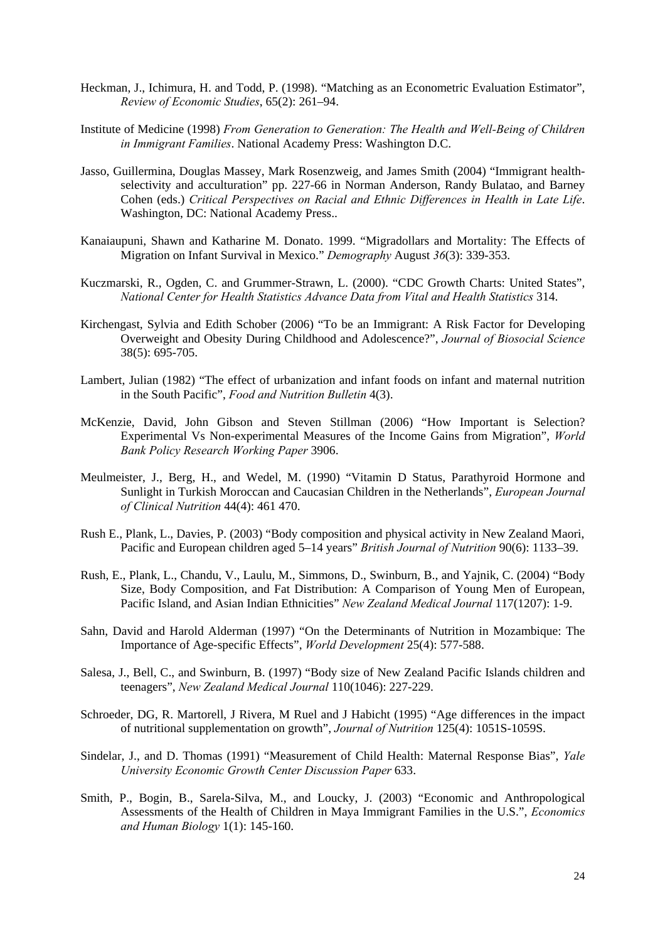- Heckman, J., Ichimura, H. and Todd, P. (1998). "Matching as an Econometric Evaluation Estimator", *Review of Economic Studies*, 65(2): 261–94.
- Institute of Medicine (1998) *From Generation to Generation: The Health and Well-Being of Children in Immigrant Families*. National Academy Press: Washington D.C.
- Jasso, Guillermina, Douglas Massey, Mark Rosenzweig, and James Smith (2004) "Immigrant healthselectivity and acculturation" pp. 227-66 in Norman Anderson, Randy Bulatao, and Barney Cohen (eds.) *Critical Perspectives on Racial and Ethnic Differences in Health in Late Life*. Washington, DC: National Academy Press..
- Kanaiaupuni, Shawn and Katharine M. Donato. 1999. "Migradollars and Mortality: The Effects of Migration on Infant Survival in Mexico." *Demography* August *36*(3): 339-353.
- Kuczmarski, R., Ogden, C. and Grummer-Strawn, L. (2000). "CDC Growth Charts: United States", *National Center for Health Statistics Advance Data from Vital and Health Statistics* 314.
- Kirchengast, Sylvia and Edith Schober (2006) "To be an Immigrant: A Risk Factor for Developing Overweight and Obesity During Childhood and Adolescence?", *Journal of Biosocial Science* 38(5): 695-705.
- Lambert, Julian (1982) "The effect of urbanization and infant foods on infant and maternal nutrition in the South Pacific", *Food and Nutrition Bulletin* 4(3).
- McKenzie, David, John Gibson and Steven Stillman (2006) "How Important is Selection? Experimental Vs Non-experimental Measures of the Income Gains from Migration", *World Bank Policy Research Working Paper* 3906.
- Meulmeister, J., Berg, H., and Wedel, M. (1990) "Vitamin D Status, Parathyroid Hormone and Sunlight in Turkish Moroccan and Caucasian Children in the Netherlands", *European Journal of Clinical Nutrition* 44(4): 461 470.
- Rush E., Plank, L., Davies, P. (2003) "Body composition and physical activity in New Zealand Maori, Pacific and European children aged 5–14 years" *British Journal of Nutrition* 90(6): 1133–39.
- Rush, E., Plank, L., Chandu, V., Laulu, M., Simmons, D., Swinburn, B., and Yajnik, C. (2004) "Body Size, Body Composition, and Fat Distribution: A Comparison of Young Men of European, Pacific Island, and Asian Indian Ethnicities" *New Zealand Medical Journal* 117(1207): 1-9.
- Sahn, David and Harold Alderman (1997) "On the Determinants of Nutrition in Mozambique: The Importance of Age-specific Effects", *World Development* 25(4): 577-588.
- Salesa, J., Bell, C., and Swinburn, B. (1997) "Body size of New Zealand Pacific Islands children and teenagers", *New Zealand Medical Journal* 110(1046): 227-229.
- Schroeder, DG, R. Martorell, J Rivera, M Ruel and J Habicht (1995) "Age differences in the impact of nutritional supplementation on growth", *Journal of Nutrition* 125(4): 1051S-1059S.
- Sindelar, J., and D. Thomas (1991) "Measurement of Child Health: Maternal Response Bias", *Yale University Economic Growth Center Discussion Paper* 633.
- Smith, P., Bogin, B., Sarela-Silva, M., and Loucky, J. (2003) "Economic and Anthropological Assessments of the Health of Children in Maya Immigrant Families in the U.S.", *Economics and Human Biology* 1(1): 145-160.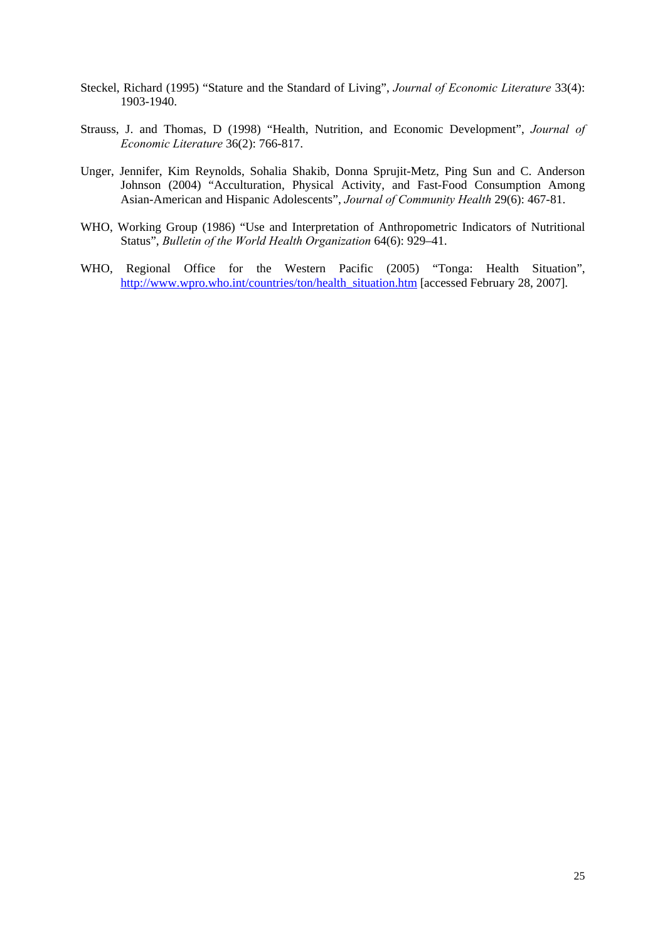- Steckel, Richard (1995) "Stature and the Standard of Living", *Journal of Economic Literature* 33(4): 1903-1940.
- Strauss, J. and Thomas, D (1998) "Health, Nutrition, and Economic Development", *Journal of Economic Literature* 36(2): 766-817.
- Unger, Jennifer, Kim Reynolds, Sohalia Shakib, Donna Sprujit-Metz, Ping Sun and C. Anderson Johnson (2004) "Acculturation, Physical Activity, and Fast-Food Consumption Among Asian-American and Hispanic Adolescents", *Journal of Community Health* 29(6): 467-81.
- WHO, Working Group (1986) "Use and Interpretation of Anthropometric Indicators of Nutritional Status", *Bulletin of the World Health Organization* 64(6): 929–41.
- WHO, Regional Office for the Western Pacific (2005) "Tonga: Health Situation", http://www.wpro.who.int/countries/ton/health\_situation.htm [accessed February 28, 2007].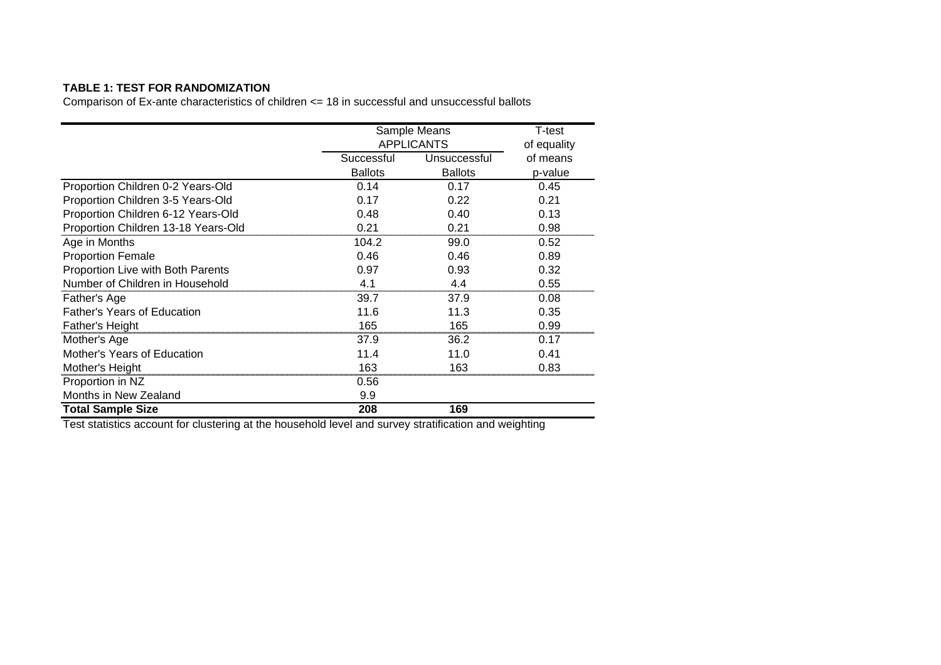# **TABLE 1: TEST FOR RANDOMIZATION**

Comparison of Ex-ante characteristics of children <= 18 in successful and unsuccessful ballots

|                                     | Sample Means      | T-test         |          |
|-------------------------------------|-------------------|----------------|----------|
|                                     | <b>APPLICANTS</b> | of equality    |          |
|                                     | Successful        | Unsuccessful   | of means |
|                                     | <b>Ballots</b>    | <b>Ballots</b> | p-value  |
| Proportion Children 0-2 Years-Old   | 0.14              | 0.17           | 0.45     |
| Proportion Children 3-5 Years-Old   | 0.17              | 0.22           | 0.21     |
| Proportion Children 6-12 Years-Old  | 0.48              | 0.40           | 0.13     |
| Proportion Children 13-18 Years-Old | 0.21              | 0.21           | 0.98     |
| Age in Months                       | 104.2             | 99.0           | 0.52     |
| <b>Proportion Female</b>            | 0.46              | 0.46           | 0.89     |
| Proportion Live with Both Parents   | 0.97              | 0.93           | 0.32     |
| Number of Children in Household     | 4.1               | 4.4            | 0.55     |
| Father's Age                        | 39.7              | 37.9           | 0.08     |
| <b>Father's Years of Education</b>  | 11.6              | 11.3           | 0.35     |
| <b>Father's Height</b>              | 165               | 165            | 0.99     |
| Mother's Age                        | 37.9              | 36.2           | 0.17     |
| Mother's Years of Education         | 11.4              | 11.0           | 0.41     |
| Mother's Height                     | 163               | 163            | 0.83     |
| Proportion in NZ                    | 0.56              |                |          |
| Months in New Zealand               | 9.9               |                |          |
| <b>Total Sample Size</b>            | 208               | 169            |          |

Test statistics account for clustering at the household level and survey stratification and weighting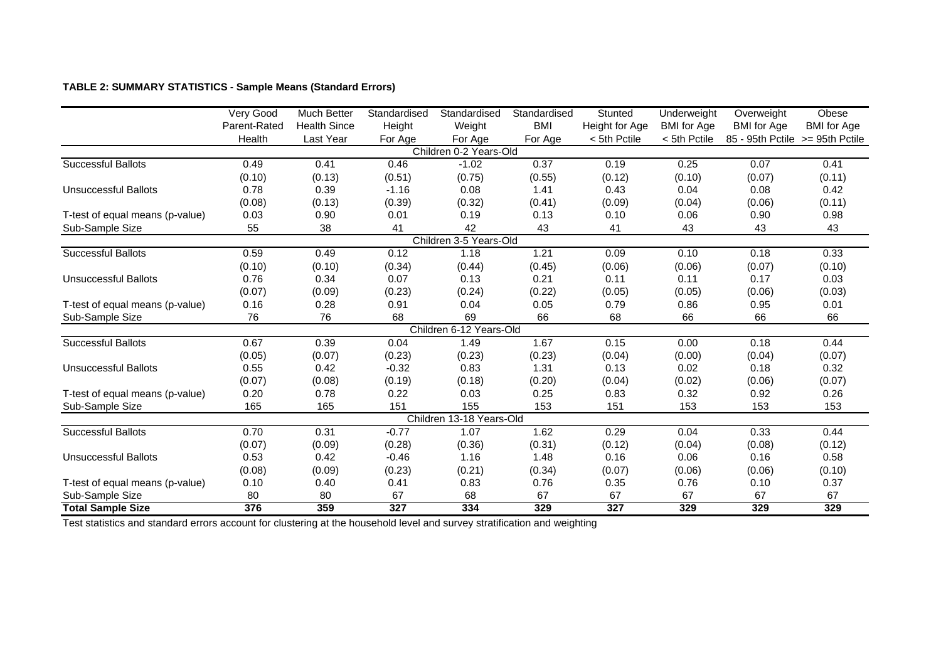# **TABLE 2: SUMMARY STATISTICS** - **Sample Means (Standard Errors)**

|                                 | Very Good    | <b>Much Better</b>  | Standardised | Standardised             | Standardised | Stunted        | Underweight        | Overweight                      | Obese              |
|---------------------------------|--------------|---------------------|--------------|--------------------------|--------------|----------------|--------------------|---------------------------------|--------------------|
|                                 | Parent-Rated | <b>Health Since</b> | Height       | Weight                   | <b>BMI</b>   | Height for Age | <b>BMI</b> for Age | <b>BMI</b> for Age              | <b>BMI</b> for Age |
|                                 | Health       | Last Year           | For Age      | For Age                  | For Age      | < 5th Pctile   | < 5th Pctile       | 85 - 95th Pctile >= 95th Pctile |                    |
|                                 |              |                     |              | Children 0-2 Years-Old   |              |                |                    |                                 |                    |
| <b>Successful Ballots</b>       | 0.49         | 0.41                | 0.46         | $-1.02$                  | 0.37         | 0.19           | 0.25               | 0.07                            | 0.41               |
|                                 | (0.10)       | (0.13)              | (0.51)       | (0.75)                   | (0.55)       | (0.12)         | (0.10)             | (0.07)                          | (0.11)             |
| <b>Unsuccessful Ballots</b>     | 0.78         | 0.39                | $-1.16$      | 0.08                     | 1.41         | 0.43           | 0.04               | 0.08                            | 0.42               |
|                                 | (0.08)       | (0.13)              | (0.39)       | (0.32)                   | (0.41)       | (0.09)         | (0.04)             | (0.06)                          | (0.11)             |
| T-test of equal means (p-value) | 0.03         | 0.90                | 0.01         | 0.19                     | 0.13         | 0.10           | 0.06               | 0.90                            | 0.98               |
| Sub-Sample Size                 | 55           | 38                  | 41           | 42                       | 43           | 41             | 43                 | 43                              | 43                 |
|                                 |              |                     |              | Children 3-5 Years-Old   |              |                |                    |                                 |                    |
| <b>Successful Ballots</b>       | 0.59         | 0.49                | 0.12         | 1.18                     | 1.21         | 0.09           | 0.10               | 0.18                            | 0.33               |
|                                 | (0.10)       | (0.10)              | (0.34)       | (0.44)                   | (0.45)       | (0.06)         | (0.06)             | (0.07)                          | (0.10)             |
| Unsuccessful Ballots            | 0.76         | 0.34                | 0.07         | 0.13                     | 0.21         | 0.11           | 0.11               | 0.17                            | 0.03               |
|                                 | (0.07)       | (0.09)              | (0.23)       | (0.24)                   | (0.22)       | (0.05)         | (0.05)             | (0.06)                          | (0.03)             |
| T-test of equal means (p-value) | 0.16         | 0.28                | 0.91         | 0.04                     | 0.05         | 0.79           | 0.86               | 0.95                            | 0.01               |
| Sub-Sample Size                 | 76           | 76                  | 68           | 69                       | 66           | 68             | 66                 | 66                              | 66                 |
|                                 |              |                     |              | Children 6-12 Years-Old  |              |                |                    |                                 |                    |
| <b>Successful Ballots</b>       | 0.67         | 0.39                | 0.04         | 1.49                     | 1.67         | 0.15           | 0.00               | 0.18                            | 0.44               |
|                                 | (0.05)       | (0.07)              | (0.23)       | (0.23)                   | (0.23)       | (0.04)         | (0.00)             | (0.04)                          | (0.07)             |
| <b>Unsuccessful Ballots</b>     | 0.55         | 0.42                | $-0.32$      | 0.83                     | 1.31         | 0.13           | 0.02               | 0.18                            | 0.32               |
|                                 | (0.07)       | (0.08)              | (0.19)       | (0.18)                   | (0.20)       | (0.04)         | (0.02)             | (0.06)                          | (0.07)             |
| T-test of equal means (p-value) | 0.20         | 0.78                | 0.22         | 0.03                     | 0.25         | 0.83           | 0.32               | 0.92                            | 0.26               |
| Sub-Sample Size                 | 165          | 165                 | 151          | 155                      | 153          | 151            | 153                | 153                             | 153                |
|                                 |              |                     |              | Children 13-18 Years-Old |              |                |                    |                                 |                    |
| <b>Successful Ballots</b>       | 0.70         | 0.31                | $-0.77$      | 1.07                     | 1.62         | 0.29           | 0.04               | 0.33                            | 0.44               |
|                                 | (0.07)       | (0.09)              | (0.28)       | (0.36)                   | (0.31)       | (0.12)         | (0.04)             | (0.08)                          | (0.12)             |
| <b>Unsuccessful Ballots</b>     | 0.53         | 0.42                | $-0.46$      | 1.16                     | 1.48         | 0.16           | 0.06               | 0.16                            | 0.58               |
|                                 | (0.08)       | (0.09)              | (0.23)       | (0.21)                   | (0.34)       | (0.07)         | (0.06)             | (0.06)                          | (0.10)             |
| T-test of equal means (p-value) | 0.10         | 0.40                | 0.41         | 0.83                     | 0.76         | 0.35           | 0.76               | 0.10                            | 0.37               |
| Sub-Sample Size                 | 80           | 80                  | 67           | 68                       | 67           | 67             | 67                 | 67                              | 67                 |
| <b>Total Sample Size</b>        | 376          | 359                 | 327          | 334                      | 329          | 327            | 329                | 329                             | 329                |

Test statistics and standard errors account for clustering at the household level and survey stratification and weighting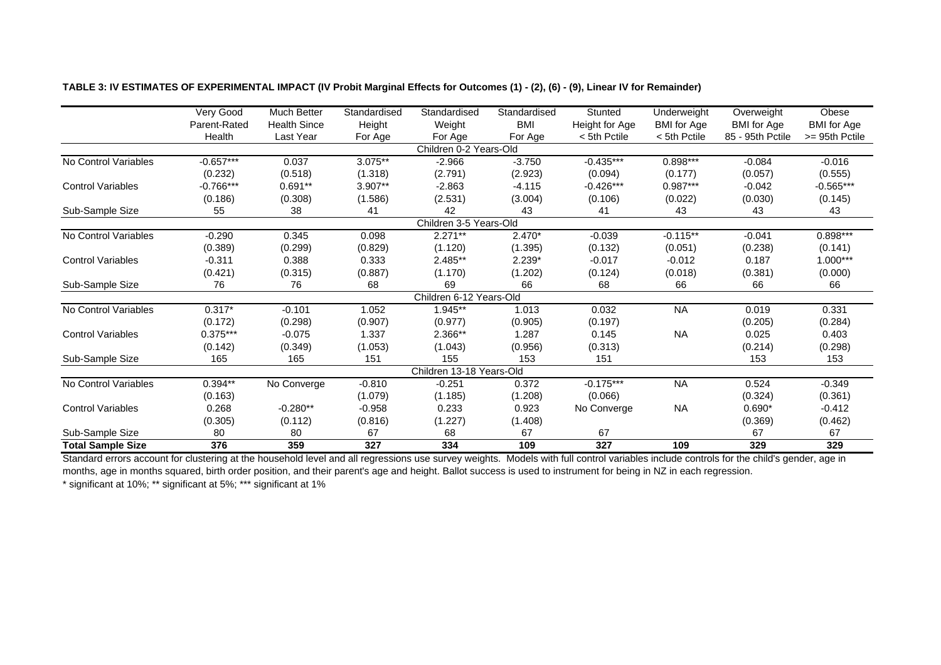|                          | Very Good    | Much Better         | Standardised | Standardised             | Standardised | Stunted        | Underweight        | Overweight         | Obese              |
|--------------------------|--------------|---------------------|--------------|--------------------------|--------------|----------------|--------------------|--------------------|--------------------|
|                          | Parent-Rated | <b>Health Since</b> | Height       | Weight                   | <b>BMI</b>   | Height for Age | <b>BMI</b> for Age | <b>BMI</b> for Age | <b>BMI</b> for Age |
|                          | Health       | Last Year           | For Age      | For Age                  | For Age      | < 5th Pctile   | < 5th Pctile       | 85 - 95th Pctile   | >= 95th Pctile     |
|                          |              |                     |              | Children 0-2 Years-Old   |              |                |                    |                    |                    |
| No Control Variables     | $-0.657***$  | 0.037               | 3.075**      | $-2.966$                 | $-3.750$     | $-0.435***$    | $0.898***$         | $-0.084$           | $-0.016$           |
|                          | (0.232)      | (0.518)             | (1.318)      | (2.791)                  | (2.923)      | (0.094)        | (0.177)            | (0.057)            | (0.555)            |
| <b>Control Variables</b> | $-0.766***$  | $0.691**$           | 3.907**      | $-2.863$                 | $-4.115$     | $-0.426***$    | $0.987***$         | $-0.042$           | $-0.565***$        |
|                          | (0.186)      | (0.308)             | (1.586)      | (2.531)                  | (3.004)      | (0.106)        | (0.022)            | (0.030)            | (0.145)            |
| Sub-Sample Size          | 55           | 38                  | 41           | 42                       | 43           | 41             | 43                 | 43                 | 43                 |
|                          |              |                     |              | Children 3-5 Years-Old   |              |                |                    |                    |                    |
| No Control Variables     | $-0.290$     | 0.345               | 0.098        | $2.271**$                | $2.470*$     | $-0.039$       | $-0.115**$         | $-0.041$           | 0.898***           |
|                          | (0.389)      | (0.299)             | (0.829)      | (1.120)                  | (1.395)      | (0.132)        | (0.051)            | (0.238)            | (0.141)            |
| <b>Control Variables</b> | $-0.311$     | 0.388               | 0.333        | 2.485**                  | 2.239*       | $-0.017$       | $-0.012$           | 0.187              | 1.000***           |
|                          | (0.421)      | (0.315)             | (0.887)      | (1.170)                  | (1.202)      | (0.124)        | (0.018)            | (0.381)            | (0.000)            |
| Sub-Sample Size          | 76           | 76                  | 68           | 69                       | 66           | 68             | 66                 | 66                 | 66                 |
|                          |              |                     |              | Children 6-12 Years-Old  |              |                |                    |                    |                    |
| No Control Variables     | $0.317*$     | $-0.101$            | 1.052        | 1.945**                  | 1.013        | 0.032          | <b>NA</b>          | 0.019              | 0.331              |
|                          | (0.172)      | (0.298)             | (0.907)      | (0.977)                  | (0.905)      | (0.197)        |                    | (0.205)            | (0.284)            |
| <b>Control Variables</b> | $0.375***$   | $-0.075$            | 1.337        | 2.366**                  | 1.287        | 0.145          | <b>NA</b>          | 0.025              | 0.403              |
|                          | (0.142)      | (0.349)             | (1.053)      | (1.043)                  | (0.956)      | (0.313)        |                    | (0.214)            | (0.298)            |
| Sub-Sample Size          | 165          | 165                 | 151          | 155                      | 153          | 151            |                    | 153                | 153                |
|                          |              |                     |              | Children 13-18 Years-Old |              |                |                    |                    |                    |
| No Control Variables     | $0.394***$   | No Converge         | $-0.810$     | $-0.251$                 | 0.372        | $-0.175***$    | <b>NA</b>          | 0.524              | $-0.349$           |
|                          | (0.163)      |                     | (1.079)      | (1.185)                  | (1.208)      | (0.066)        |                    | (0.324)            | (0.361)            |
| <b>Control Variables</b> | 0.268        | $-0.280**$          | $-0.958$     | 0.233                    | 0.923        | No Converge    | <b>NA</b>          | $0.690*$           | $-0.412$           |
|                          | (0.305)      | (0.112)             | (0.816)      | (1.227)                  | (1.408)      |                |                    | (0.369)            | (0.462)            |
| Sub-Sample Size          | 80           | 80                  | 67           | 68                       | 67           | 67             |                    | 67                 | 67                 |
| <b>Total Sample Size</b> | 376          | 359                 | 327          | 334                      | 109          | 327            | 109                | 329                | 329                |

# **TABLE 3: IV ESTIMATES OF EXPERIMENTAL IMPACT (IV Probit Marginal Effects for Outcomes (1) - (2), (6) - (9), Linear IV for Remainder)**

Standard errors account for clustering at the household level and all regressions use survey weights. Models with full control variables include controls for the child's gender, age in months, age in months squared, birth order position, and their parent's age and height. Ballot success is used to instrument for being in NZ in each regression.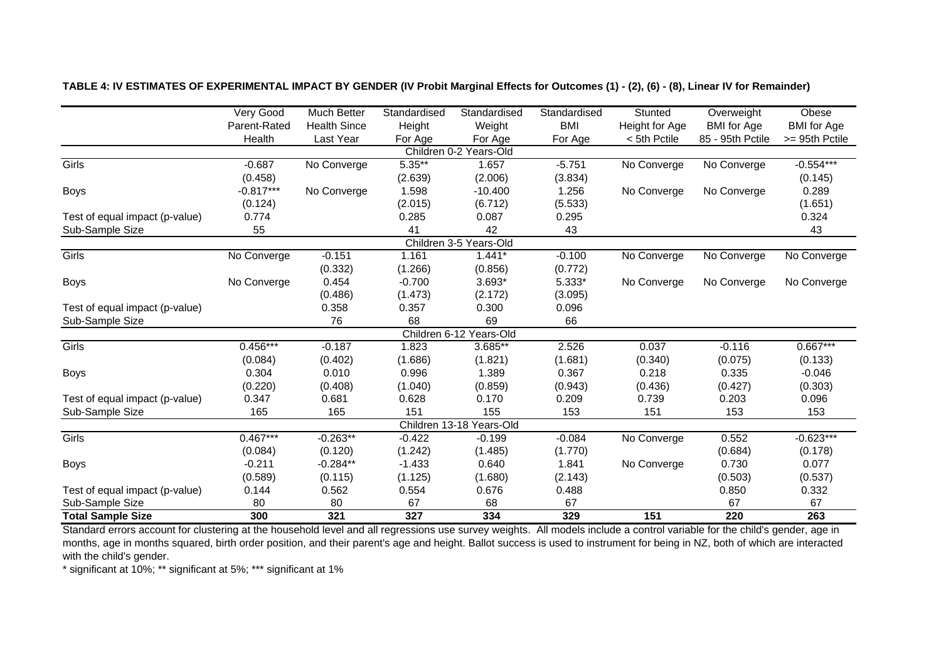|                                | Very Good    | Much Better         | Standardised | Standardised             | Standardised | Stunted        | Overweight         | Obese              |
|--------------------------------|--------------|---------------------|--------------|--------------------------|--------------|----------------|--------------------|--------------------|
|                                | Parent-Rated | <b>Health Since</b> | Height       | Weight                   | <b>BMI</b>   | Height for Age | <b>BMI</b> for Age | <b>BMI</b> for Age |
|                                | Health       | Last Year           | For Age      | For Age                  | For Age      | < 5th Pctile   | 85 - 95th Pctile   | >= 95th Pctile     |
|                                |              |                     |              | Children 0-2 Years-Old   |              |                |                    |                    |
| <b>Girls</b>                   | $-0.687$     | No Converge         | $5.35***$    | 1.657                    | $-5.751$     | No Converge    | No Converge        | $-0.554***$        |
|                                | (0.458)      |                     | (2.639)      | (2.006)                  | (3.834)      |                |                    | (0.145)            |
| <b>Boys</b>                    | $-0.817***$  | No Converge         | 1.598        | $-10.400$                | 1.256        | No Converge    | No Converge        | 0.289              |
|                                | (0.124)      |                     | (2.015)      | (6.712)                  | (5.533)      |                |                    | (1.651)            |
| Test of equal impact (p-value) | 0.774        |                     | 0.285        | 0.087                    | 0.295        |                |                    | 0.324              |
| Sub-Sample Size                | 55           |                     | 41           | 42                       | 43           |                |                    | 43                 |
|                                |              |                     |              | Children 3-5 Years-Old   |              |                |                    |                    |
| Girls                          | No Converge  | $-0.151$            | 1.161        | $1.441*$                 | $-0.100$     | No Converge    | No Converge        | No Converge        |
|                                |              | (0.332)             | (1.266)      | (0.856)                  | (0.772)      |                |                    |                    |
| Boys                           | No Converge  | 0.454               | $-0.700$     | $3.693*$                 | 5.333*       | No Converge    | No Converge        | No Converge        |
|                                |              | (0.486)             | (1.473)      | (2.172)                  | (3.095)      |                |                    |                    |
| Test of equal impact (p-value) |              | 0.358               | 0.357        | 0.300                    | 0.096        |                |                    |                    |
| Sub-Sample Size                |              | 76                  | 68           | 69                       | 66           |                |                    |                    |
|                                |              |                     |              | Children 6-12 Years-Old  |              |                |                    |                    |
| Girls                          | $0.456***$   | $-0.187$            | 1.823        | 3.685**                  | 2.526        | 0.037          | $-0.116$           | $0.667***$         |
|                                | (0.084)      | (0.402)             | (1.686)      | (1.821)                  | (1.681)      | (0.340)        | (0.075)            | (0.133)            |
| <b>Boys</b>                    | 0.304        | 0.010               | 0.996        | 1.389                    | 0.367        | 0.218          | 0.335              | $-0.046$           |
|                                | (0.220)      | (0.408)             | (1.040)      | (0.859)                  | (0.943)      | (0.436)        | (0.427)            | (0.303)            |
| Test of equal impact (p-value) | 0.347        | 0.681               | 0.628        | 0.170                    | 0.209        | 0.739          | 0.203              | 0.096              |
| Sub-Sample Size                | 165          | 165                 | 151          | 155                      | 153          | 151            | 153                | 153                |
|                                |              |                     |              | Children 13-18 Years-Old |              |                |                    |                    |
| Girls                          | $0.467***$   | $-0.263**$          | $-0.422$     | $-0.199$                 | $-0.084$     | No Converge    | 0.552              | $-0.623***$        |
|                                | (0.084)      | (0.120)             | (1.242)      | (1.485)                  | (1.770)      |                | (0.684)            | (0.178)            |
| <b>Boys</b>                    | $-0.211$     | $-0.284**$          | $-1.433$     | 0.640                    | 1.841        | No Converge    | 0.730              | 0.077              |
|                                | (0.589)      | (0.115)             | (1.125)      | (1.680)                  | (2.143)      |                | (0.503)            | (0.537)            |
| Test of equal impact (p-value) | 0.144        | 0.562               | 0.554        | 0.676                    | 0.488        |                | 0.850              | 0.332              |
| Sub-Sample Size                | 80           | 80                  | 67           | 68                       | 67           |                | 67                 | 67                 |
| <b>Total Sample Size</b>       | 300          | 321                 | 327          | 334                      | 329          | 151            | 220                | 263                |

**TABLE 4: IV ESTIMATES OF EXPERIMENTAL IMPACT BY GENDER (IV Probit Marginal Effects for Outcomes (1) - (2), (6) - (8), Linear IV for Remainder)**

Standard errors account for clustering at the household level and all regressions use survey weights. All models include a control variable for the child's gender, age in months, age in months squared, birth order position, and their parent's age and height. Ballot success is used to instrument for being in NZ, both of which are interacted with the child's gender.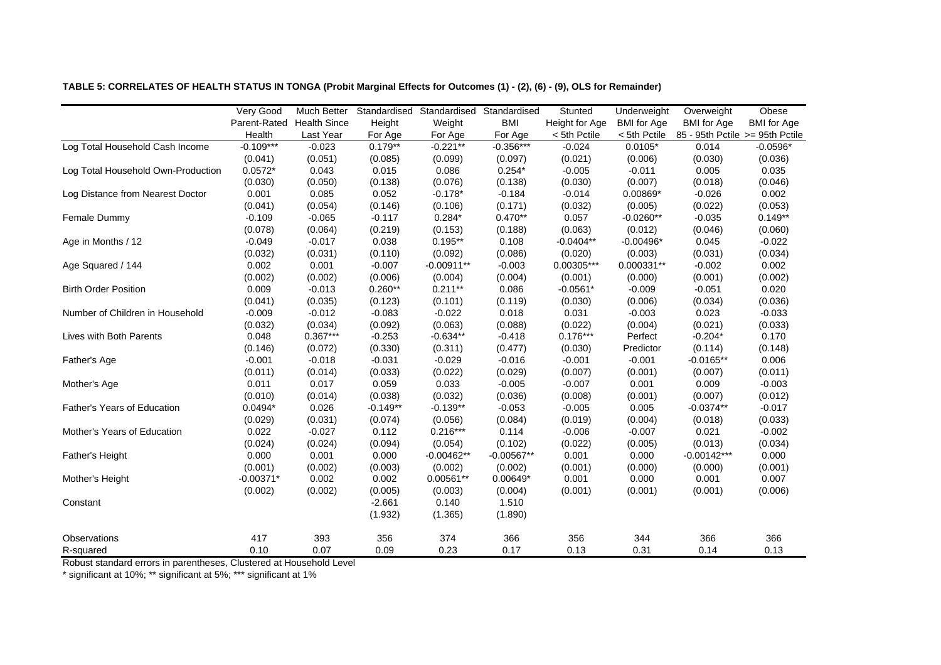|                                    | <b>Very Good</b><br>Parent-Rated<br>Health | <b>Much Better</b><br><b>Health Since</b><br>Last Year | Height<br>For Age | Standardised Standardised<br>Weight<br>For Age | Standardised<br><b>BMI</b><br>For Age | Stunted<br>Height for Age<br>< 5th Pctile | Underweight<br><b>BMI</b> for Age<br>< 5th Pctile | Overweight<br><b>BMI</b> for Age<br>85 - 95th Pctile >= 95th Pctile | Obese<br><b>BMI</b> for Age |
|------------------------------------|--------------------------------------------|--------------------------------------------------------|-------------------|------------------------------------------------|---------------------------------------|-------------------------------------------|---------------------------------------------------|---------------------------------------------------------------------|-----------------------------|
| Log Total Household Cash Income    | $-0.109***$                                | $-0.023$                                               | $0.179**$         | $-0.221**$                                     | $-0.356***$                           | $-0.024$                                  | $0.0105*$                                         | 0.014                                                               | $-0.0596*$                  |
|                                    | (0.041)                                    | (0.051)                                                | (0.085)           | (0.099)                                        | (0.097)                               | (0.021)                                   | (0.006)                                           | (0.030)                                                             | (0.036)                     |
| Log Total Household Own-Production | $0.0572*$                                  | 0.043                                                  | 0.015             | 0.086                                          | $0.254*$                              | $-0.005$                                  | $-0.011$                                          | 0.005                                                               | 0.035                       |
|                                    | (0.030)                                    | (0.050)                                                | (0.138)           | (0.076)                                        | (0.138)                               | (0.030)                                   | (0.007)                                           | (0.018)                                                             | (0.046)                     |
| Log Distance from Nearest Doctor   | 0.001                                      | 0.085                                                  | 0.052             | $-0.178*$                                      | $-0.184$                              | $-0.014$                                  | $0.00869*$                                        | $-0.026$                                                            | 0.002                       |
|                                    | (0.041)                                    | (0.054)                                                | (0.146)           | (0.106)                                        | (0.171)                               | (0.032)                                   | (0.005)                                           | (0.022)                                                             | (0.053)                     |
| Female Dummy                       | $-0.109$                                   | $-0.065$                                               | $-0.117$          | $0.284*$                                       | $0.470**$                             | 0.057                                     | $-0.0260**$                                       | $-0.035$                                                            | $0.149**$                   |
|                                    | (0.078)                                    | (0.064)                                                | (0.219)           | (0.153)                                        | (0.188)                               | (0.063)                                   | (0.012)                                           | (0.046)                                                             | (0.060)                     |
| Age in Months / 12                 | $-0.049$                                   | $-0.017$                                               | 0.038             | $0.195**$                                      | 0.108                                 | $-0.0404**$                               | $-0.00496*$                                       | 0.045                                                               | $-0.022$                    |
|                                    | (0.032)                                    | (0.031)                                                | (0.110)           | (0.092)                                        | (0.086)                               | (0.020)                                   | (0.003)                                           | (0.031)                                                             | (0.034)                     |
| Age Squared / 144                  | 0.002                                      | 0.001                                                  | $-0.007$          | $-0.00911**$                                   | $-0.003$                              | 0.00305***                                | 0.000331**                                        | $-0.002$                                                            | 0.002                       |
|                                    | (0.002)                                    | (0.002)                                                | (0.006)           | (0.004)                                        | (0.004)                               | (0.001)                                   | (0.000)                                           | (0.001)                                                             | (0.002)                     |
| <b>Birth Order Position</b>        | 0.009                                      | $-0.013$                                               | $0.260**$         | $0.211**$                                      | 0.086                                 | $-0.0561*$                                | $-0.009$                                          | $-0.051$                                                            | 0.020                       |
|                                    | (0.041)                                    | (0.035)                                                | (0.123)           | (0.101)                                        | (0.119)                               | (0.030)                                   | (0.006)                                           | (0.034)                                                             | (0.036)                     |
| Number of Children in Household    | $-0.009$                                   | $-0.012$                                               | $-0.083$          | $-0.022$                                       | 0.018                                 | 0.031                                     | $-0.003$                                          | 0.023                                                               | $-0.033$                    |
|                                    | (0.032)                                    | (0.034)                                                | (0.092)           | (0.063)                                        | (0.088)                               | (0.022)                                   | (0.004)                                           | (0.021)                                                             | (0.033)                     |
| Lives with Both Parents            | 0.048                                      | $0.367***$                                             | $-0.253$          | $-0.634**$                                     | $-0.418$                              | $0.176***$                                | Perfect                                           | $-0.204*$                                                           | 0.170                       |
|                                    | (0.146)                                    | (0.072)                                                | (0.330)           | (0.311)                                        | (0.477)                               | (0.030)                                   | Predictor                                         | (0.114)                                                             | (0.148)                     |
| Father's Age                       | $-0.001$                                   | $-0.018$                                               | $-0.031$          | $-0.029$                                       | $-0.016$                              | $-0.001$                                  | $-0.001$                                          | $-0.0165**$                                                         | 0.006                       |
|                                    | (0.011)                                    | (0.014)                                                | (0.033)           | (0.022)                                        | (0.029)                               | (0.007)                                   | (0.001)                                           | (0.007)                                                             | (0.011)                     |
| Mother's Age                       | 0.011                                      | 0.017                                                  | 0.059             | 0.033                                          | $-0.005$                              | $-0.007$                                  | 0.001                                             | 0.009                                                               | $-0.003$                    |
|                                    | (0.010)                                    | (0.014)                                                | (0.038)           | (0.032)                                        | (0.036)                               | (0.008)                                   | (0.001)                                           | (0.007)                                                             | (0.012)                     |
| Father's Years of Education        | $0.0494*$                                  | 0.026                                                  | $-0.149**$        | $-0.139**$                                     | $-0.053$                              | $-0.005$                                  | 0.005                                             | $-0.0374**$                                                         | $-0.017$                    |
|                                    | (0.029)                                    | (0.031)                                                | (0.074)           | (0.056)                                        | (0.084)                               | (0.019)                                   | (0.004)                                           | (0.018)                                                             | (0.033)                     |
| Mother's Years of Education        | 0.022                                      | $-0.027$                                               | 0.112             | $0.216***$                                     | 0.114                                 | $-0.006$                                  | $-0.007$                                          | 0.021                                                               | $-0.002$                    |
|                                    | (0.024)                                    | (0.024)                                                | (0.094)           | (0.054)                                        | (0.102)                               | (0.022)                                   | (0.005)                                           | (0.013)                                                             | (0.034)                     |
| Father's Height                    | 0.000                                      | 0.001                                                  | 0.000             | $-0.00462**$                                   | $-0.00567**$                          | 0.001                                     | 0.000                                             | $-0.00142***$                                                       | 0.000                       |
|                                    | (0.001)                                    | (0.002)                                                | (0.003)           | (0.002)                                        | (0.002)                               | (0.001)                                   | (0.000)                                           | (0.000)                                                             | (0.001)                     |
| Mother's Height                    | $-0.00371*$                                | 0.002                                                  | 0.002             | $0.00561**$                                    | $0.00649*$                            | 0.001                                     | 0.000                                             | 0.001                                                               | 0.007                       |
|                                    | (0.002)                                    | (0.002)                                                | (0.005)           | (0.003)                                        | (0.004)                               | (0.001)                                   | (0.001)                                           | (0.001)                                                             | (0.006)                     |
| Constant                           |                                            |                                                        | $-2.661$          | 0.140                                          | 1.510                                 |                                           |                                                   |                                                                     |                             |
|                                    |                                            |                                                        | (1.932)           | (1.365)                                        | (1.890)                               |                                           |                                                   |                                                                     |                             |
| Observations                       | 417                                        | 393                                                    | 356               | 374                                            | 366                                   | 356                                       | 344                                               | 366                                                                 | 366                         |
| R-squared                          | 0.10                                       | 0.07                                                   | 0.09              | 0.23                                           | 0.17                                  | 0.13                                      | 0.31                                              | 0.14                                                                | 0.13                        |

**TABLE 5: CORRELATES OF HEALTH STATUS IN TONGA (Probit Marginal Effects for Outcomes (1) - (2), (6) - (9), OLS for Remainder)**

Robust standard errors in parentheses, Clustered at Household Level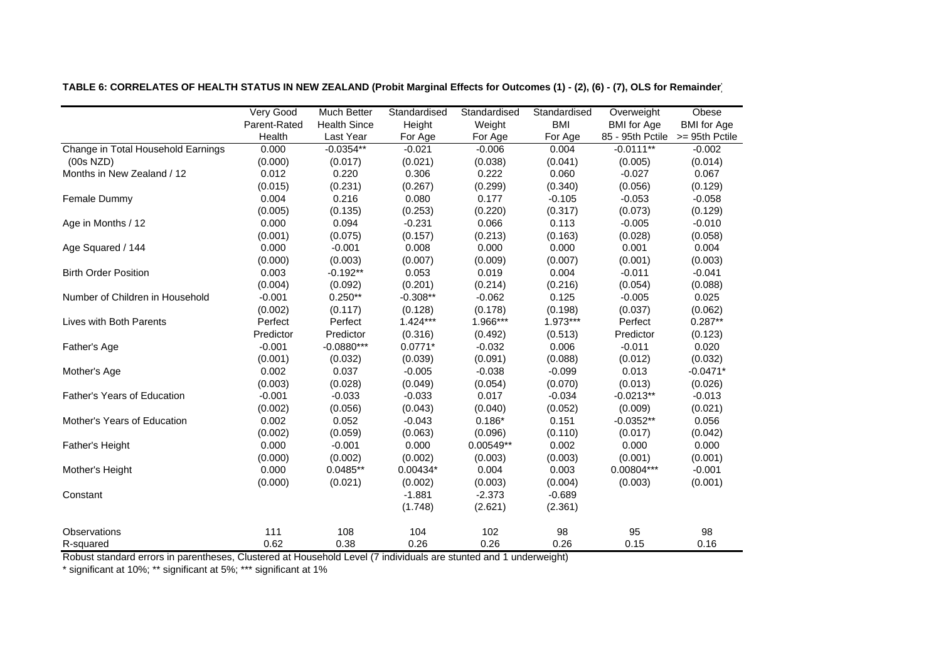|                                    | Very Good    | <b>Much Better</b>  | Standardised | Standardised | Standardised | Overweight                      | Obese              |
|------------------------------------|--------------|---------------------|--------------|--------------|--------------|---------------------------------|--------------------|
|                                    | Parent-Rated | <b>Health Since</b> | Height       | Weight       | <b>BMI</b>   | <b>BMI</b> for Age              | <b>BMI</b> for Age |
|                                    | Health       | Last Year           | For Age      | For Age      | For Age      | 85 - 95th Pctile >= 95th Pctile |                    |
| Change in Total Household Earnings | 0.000        | $-0.0354**$         | $-0.021$     | $-0.006$     | 0.004        | $-0.0111**$                     | $-0.002$           |
| (00s NZD)                          | (0.000)      | (0.017)             | (0.021)      | (0.038)      | (0.041)      | (0.005)                         | (0.014)            |
| Months in New Zealand / 12         | 0.012        | 0.220               | 0.306        | 0.222        | 0.060        | $-0.027$                        | 0.067              |
|                                    | (0.015)      | (0.231)             | (0.267)      | (0.299)      | (0.340)      | (0.056)                         | (0.129)            |
| Female Dummy                       | 0.004        | 0.216               | 0.080        | 0.177        | $-0.105$     | $-0.053$                        | $-0.058$           |
|                                    | (0.005)      | (0.135)             | (0.253)      | (0.220)      | (0.317)      | (0.073)                         | (0.129)            |
| Age in Months / 12                 | 0.000        | 0.094               | $-0.231$     | 0.066        | 0.113        | $-0.005$                        | $-0.010$           |
|                                    | (0.001)      | (0.075)             | (0.157)      | (0.213)      | (0.163)      | (0.028)                         | (0.058)            |
| Age Squared / 144                  | 0.000        | $-0.001$            | 0.008        | 0.000        | 0.000        | 0.001                           | 0.004              |
|                                    | (0.000)      | (0.003)             | (0.007)      | (0.009)      | (0.007)      | (0.001)                         | (0.003)            |
| <b>Birth Order Position</b>        | 0.003        | $-0.192**$          | 0.053        | 0.019        | 0.004        | $-0.011$                        | $-0.041$           |
|                                    | (0.004)      | (0.092)             | (0.201)      | (0.214)      | (0.216)      | (0.054)                         | (0.088)            |
| Number of Children in Household    | $-0.001$     | $0.250**$           | $-0.308**$   | $-0.062$     | 0.125        | $-0.005$                        | 0.025              |
|                                    | (0.002)      | (0.117)             | (0.128)      | (0.178)      | (0.198)      | (0.037)                         | (0.062)            |
| Lives with Both Parents            | Perfect      | Perfect             | $1.424***$   | 1.966***     | 1.973***     | Perfect                         | $0.287**$          |
|                                    | Predictor    | Predictor           | (0.316)      | (0.492)      | (0.513)      | Predictor                       | (0.123)            |
| Father's Age                       | $-0.001$     | $-0.0880***$        | $0.0771*$    | $-0.032$     | 0.006        | $-0.011$                        | 0.020              |
|                                    | (0.001)      | (0.032)             | (0.039)      | (0.091)      | (0.088)      | (0.012)                         | (0.032)            |
| Mother's Age                       | 0.002        | 0.037               | $-0.005$     | $-0.038$     | $-0.099$     | 0.013                           | $-0.0471*$         |
|                                    | (0.003)      | (0.028)             | (0.049)      | (0.054)      | (0.070)      | (0.013)                         | (0.026)            |
| Father's Years of Education        | $-0.001$     | $-0.033$            | $-0.033$     | 0.017        | $-0.034$     | $-0.0213**$                     | $-0.013$           |
|                                    | (0.002)      | (0.056)             | (0.043)      | (0.040)      | (0.052)      | (0.009)                         | (0.021)            |
| Mother's Years of Education        | 0.002        | 0.052               | $-0.043$     | $0.186*$     | 0.151        | $-0.0352**$                     | 0.056              |
|                                    | (0.002)      | (0.059)             | (0.063)      | (0.096)      | (0.110)      | (0.017)                         | (0.042)            |
| Father's Height                    | 0.000        | $-0.001$            | 0.000        | 0.00549**    | 0.002        | 0.000                           | 0.000              |
|                                    | (0.000)      | (0.002)             | (0.002)      | (0.003)      | (0.003)      | (0.001)                         | (0.001)            |
| Mother's Height                    | 0.000        | $0.0485**$          | $0.00434*$   | 0.004        | 0.003        | 0.00804***                      | $-0.001$           |
|                                    | (0.000)      | (0.021)             | (0.002)      | (0.003)      | (0.004)      | (0.003)                         | (0.001)            |
| Constant                           |              |                     | $-1.881$     | $-2.373$     | $-0.689$     |                                 |                    |
|                                    |              |                     | (1.748)      | (2.621)      | (2.361)      |                                 |                    |
| <b>Observations</b>                | 111          | 108                 | 104          | 102          | 98           | 95                              | 98                 |
| R-squared                          | 0.62         | 0.38                | 0.26         | 0.26         | 0.26         | 0.15                            | 0.16               |

**TABLE 6: CORRELATES OF HEALTH STATUS IN NEW ZEALAND (Probit Marginal Effects for Outcomes (1) - (2), (6) - (7), OLS for Remainder)**

Robust standard errors in parentheses, Clustered at Household Level (7 individuals are stunted and 1 underweight)